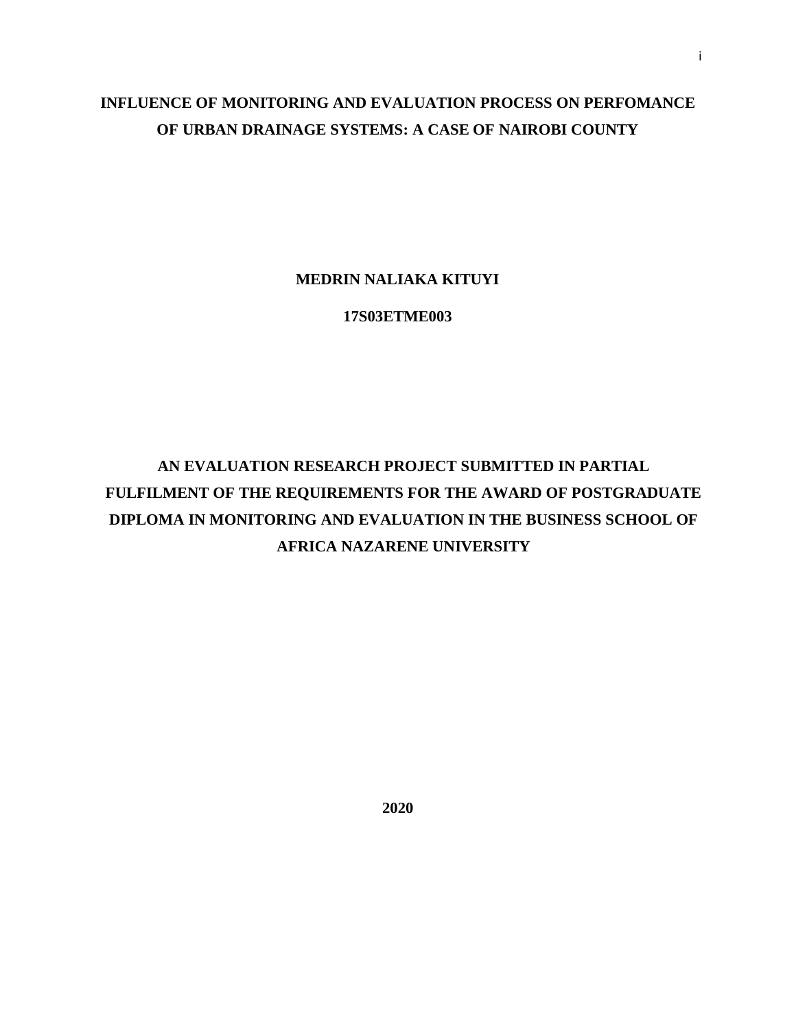# **INFLUENCE OF MONITORING AND EVALUATION PROCESS ON PERFOMANCE OF URBAN DRAINAGE SYSTEMS: A CASE OF NAIROBI COUNTY**

## **MEDRIN NALIAKA KITUYI**

**17S03ETME003**

# **AN EVALUATION RESEARCH PROJECT SUBMITTED IN PARTIAL FULFILMENT OF THE REQUIREMENTS FOR THE AWARD OF POSTGRADUATE DIPLOMA IN MONITORING AND EVALUATION IN THE BUSINESS SCHOOL OF AFRICA NAZARENE UNIVERSITY**

**2020**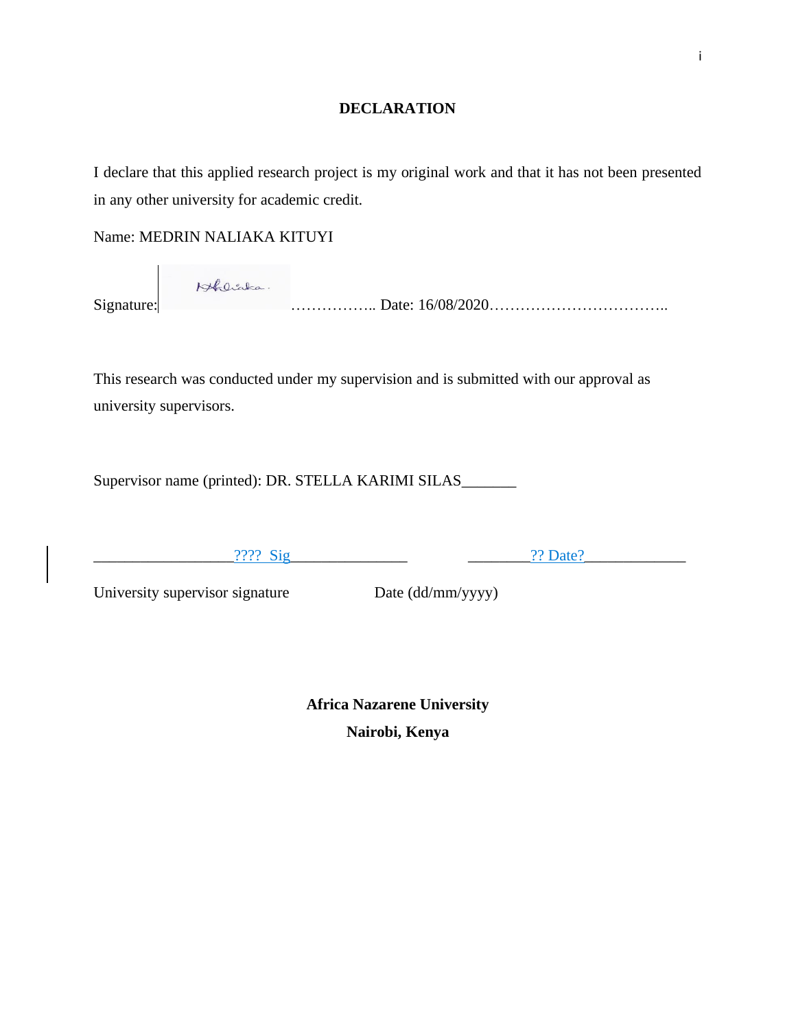### **DECLARATION**

<span id="page-1-0"></span>I declare that this applied research project is my original work and that it has not been presented in any other university for academic credit.

Name: MEDRIN NALIAKA KITUYI

Hoberta. Signature: …………….. Date: 16/08/2020……………………………..

This research was conducted under my supervision and is submitted with our approval as university supervisors.

Supervisor name (printed): DR. STELLA KARIMI SILAS\_\_\_\_\_\_\_\_

 $????$  Sig  $.2?$  Date?

University supervisor signature Date (dd/mm/yyyy)

**Africa Nazarene University Nairobi, Kenya**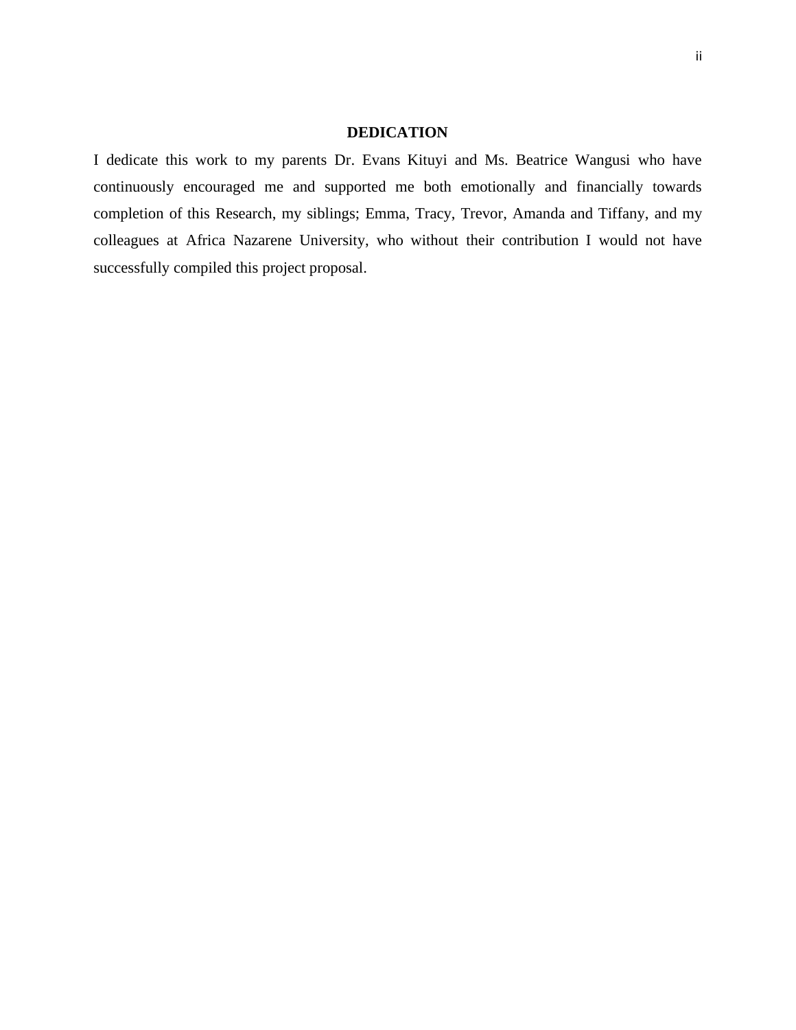#### **DEDICATION**

<span id="page-2-0"></span>I dedicate this work to my parents Dr. Evans Kituyi and Ms. Beatrice Wangusi who have continuously encouraged me and supported me both emotionally and financially towards completion of this Research, my siblings; Emma, Tracy, Trevor, Amanda and Tiffany, and my colleagues at Africa Nazarene University, who without their contribution I would not have successfully compiled this project proposal.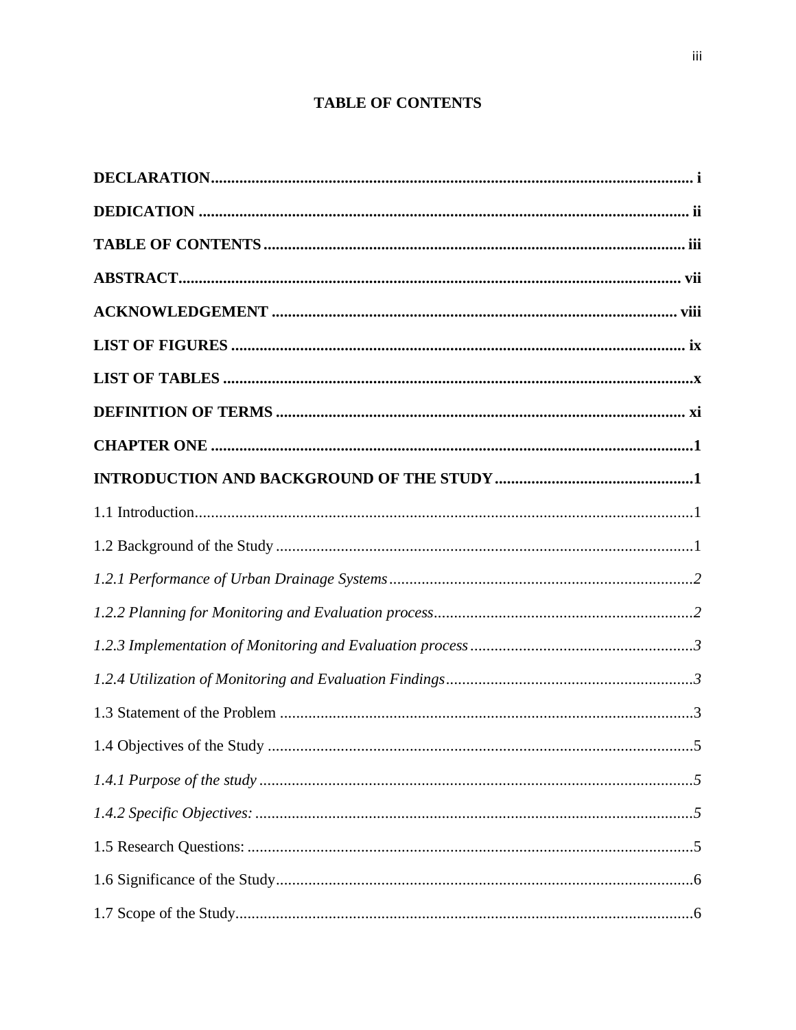# **TABLE OF CONTENTS**

<span id="page-3-0"></span>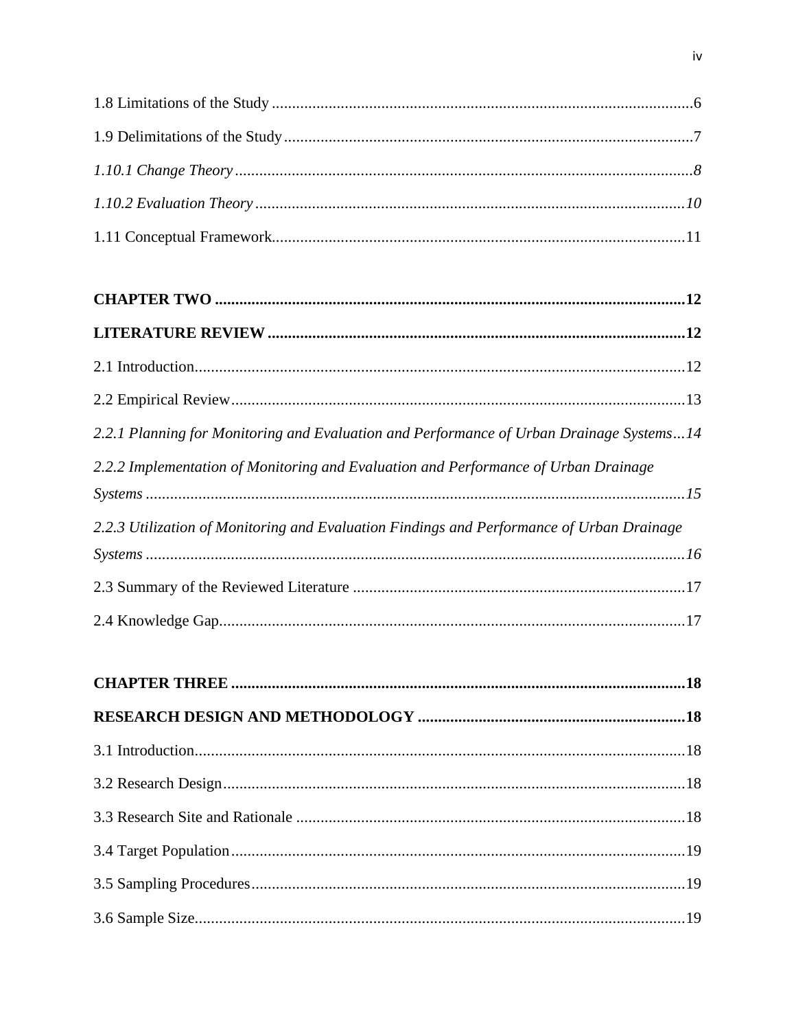| 2.2.1 Planning for Monitoring and Evaluation and Performance of Urban Drainage Systems14 |
|------------------------------------------------------------------------------------------|
| 2.2.2 Implementation of Monitoring and Evaluation and Performance of Urban Drainage      |

|--|

| 2.2.3 Utilization of Monitoring and Evaluation Findings and Performance of Urban Drainage |  |
|-------------------------------------------------------------------------------------------|--|
| $Systems \dots 16$                                                                        |  |
|                                                                                           |  |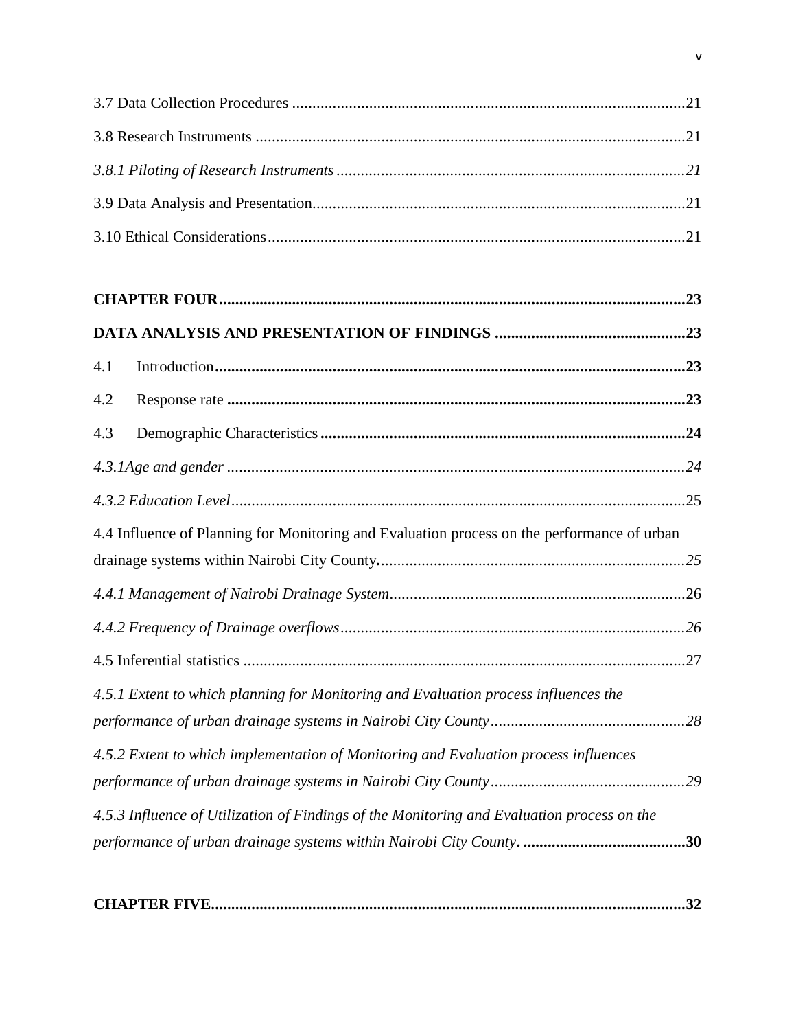| 4.1                                                                                         |     |
|---------------------------------------------------------------------------------------------|-----|
| 4.2                                                                                         |     |
| 4.3                                                                                         |     |
|                                                                                             |     |
|                                                                                             |     |
| 4.4 Influence of Planning for Monitoring and Evaluation process on the performance of urban |     |
|                                                                                             |     |
|                                                                                             |     |
|                                                                                             |     |
|                                                                                             |     |
| 4.5.1 Extent to which planning for Monitoring and Evaluation process influences the         |     |
|                                                                                             |     |
| 4.5.2 Extent to which implementation of Monitoring and Evaluation process influences        |     |
|                                                                                             |     |
| 4.5.3 Influence of Utilization of Findings of the Monitoring and Evaluation process on the  | .30 |
|                                                                                             |     |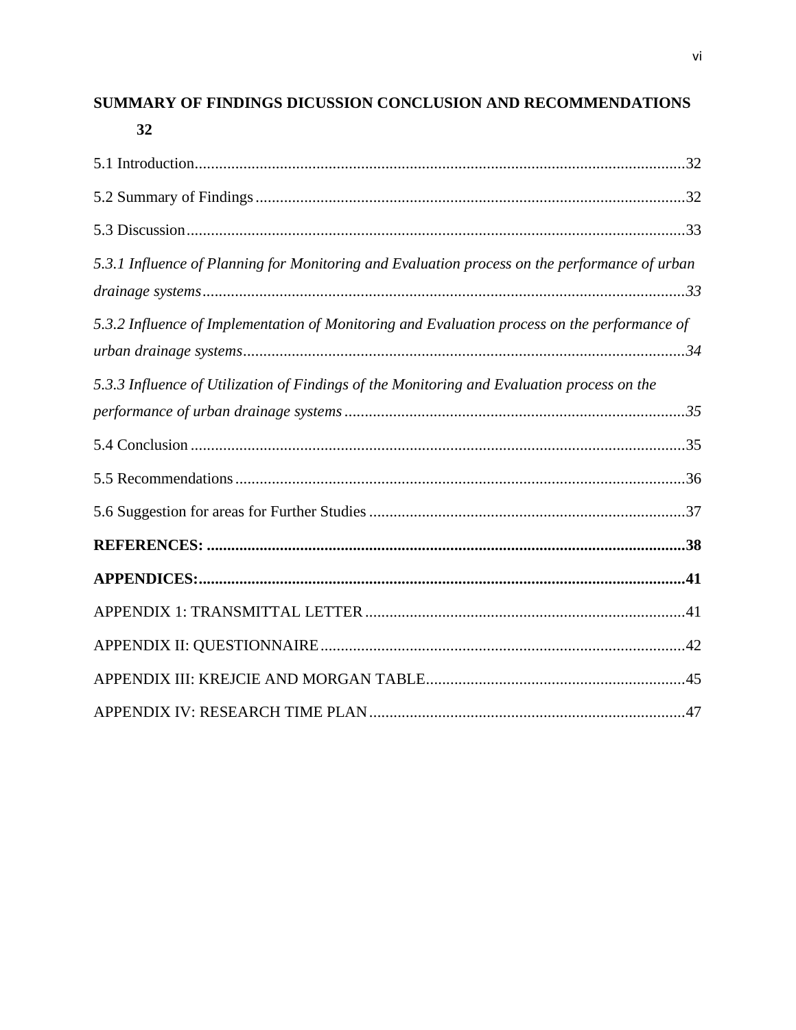# SUMMARY OF FINDINGS DICUSSION CONCLUSION AND RECOMMENDATIONS

| I<br>×<br>v |  |
|-------------|--|

| 5.3.1 Influence of Planning for Monitoring and Evaluation process on the performance of urban |  |
|-----------------------------------------------------------------------------------------------|--|
| 5.3.2 Influence of Implementation of Monitoring and Evaluation process on the performance of  |  |
| 5.3.3 Influence of Utilization of Findings of the Monitoring and Evaluation process on the    |  |
|                                                                                               |  |
|                                                                                               |  |
|                                                                                               |  |
|                                                                                               |  |
|                                                                                               |  |
|                                                                                               |  |
|                                                                                               |  |
|                                                                                               |  |
|                                                                                               |  |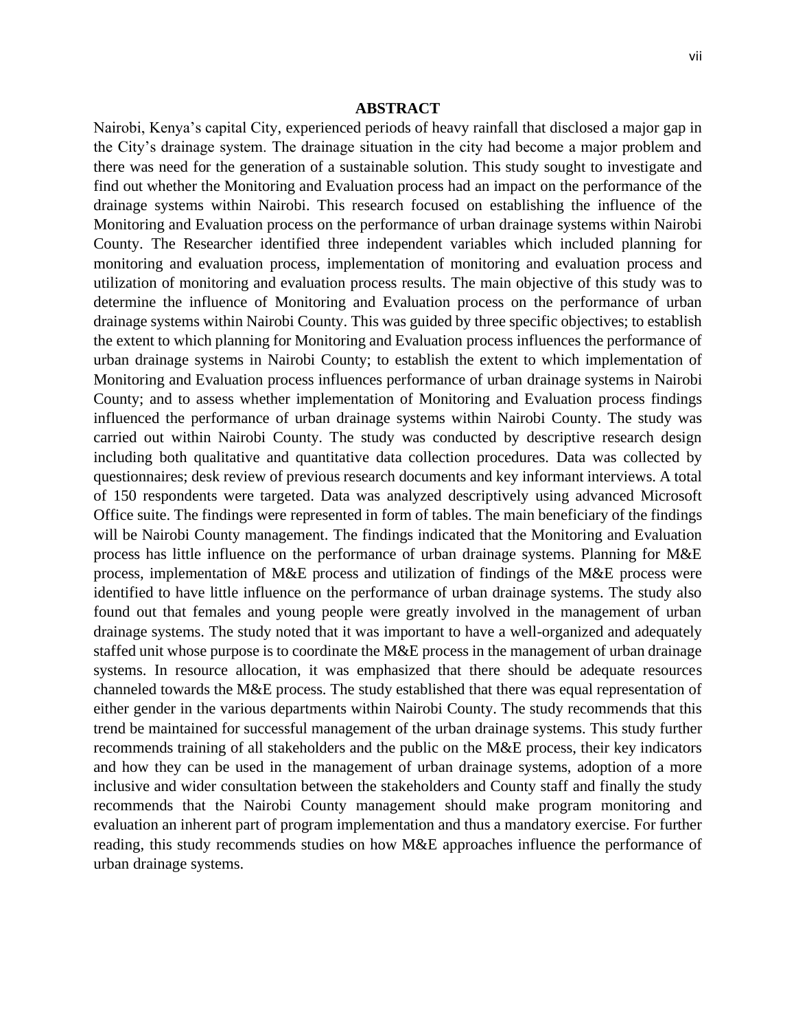#### **ABSTRACT**

<span id="page-7-0"></span>Nairobi, Kenya's capital City, experienced periods of heavy rainfall that disclosed a major gap in the City's drainage system. The drainage situation in the city had become a major problem and there was need for the generation of a sustainable solution. This study sought to investigate and find out whether the Monitoring and Evaluation process had an impact on the performance of the drainage systems within Nairobi. This research focused on establishing the influence of the Monitoring and Evaluation process on the performance of urban drainage systems within Nairobi County. The Researcher identified three independent variables which included planning for monitoring and evaluation process, implementation of monitoring and evaluation process and utilization of monitoring and evaluation process results. The main objective of this study was to determine the influence of Monitoring and Evaluation process on the performance of urban drainage systems within Nairobi County. This was guided by three specific objectives; to establish the extent to which planning for Monitoring and Evaluation process influences the performance of urban drainage systems in Nairobi County; to establish the extent to which implementation of Monitoring and Evaluation process influences performance of urban drainage systems in Nairobi County; and to assess whether implementation of Monitoring and Evaluation process findings influenced the performance of urban drainage systems within Nairobi County. The study was carried out within Nairobi County. The study was conducted by descriptive research design including both qualitative and quantitative data collection procedures. Data was collected by questionnaires; desk review of previous research documents and key informant interviews. A total of 150 respondents were targeted. Data was analyzed descriptively using advanced Microsoft Office suite. The findings were represented in form of tables. The main beneficiary of the findings will be Nairobi County management. The findings indicated that the Monitoring and Evaluation process has little influence on the performance of urban drainage systems. Planning for M&E process, implementation of M&E process and utilization of findings of the M&E process were identified to have little influence on the performance of urban drainage systems. The study also found out that females and young people were greatly involved in the management of urban drainage systems. The study noted that it was important to have a well-organized and adequately staffed unit whose purpose is to coordinate the M&E process in the management of urban drainage systems. In resource allocation, it was emphasized that there should be adequate resources channeled towards the M&E process. The study established that there was equal representation of either gender in the various departments within Nairobi County. The study recommends that this trend be maintained for successful management of the urban drainage systems. This study further recommends training of all stakeholders and the public on the M&E process, their key indicators and how they can be used in the management of urban drainage systems, adoption of a more inclusive and wider consultation between the stakeholders and County staff and finally the study recommends that the Nairobi County management should make program monitoring and evaluation an inherent part of program implementation and thus a mandatory exercise. For further reading, this study recommends studies on how M&E approaches influence the performance of urban drainage systems.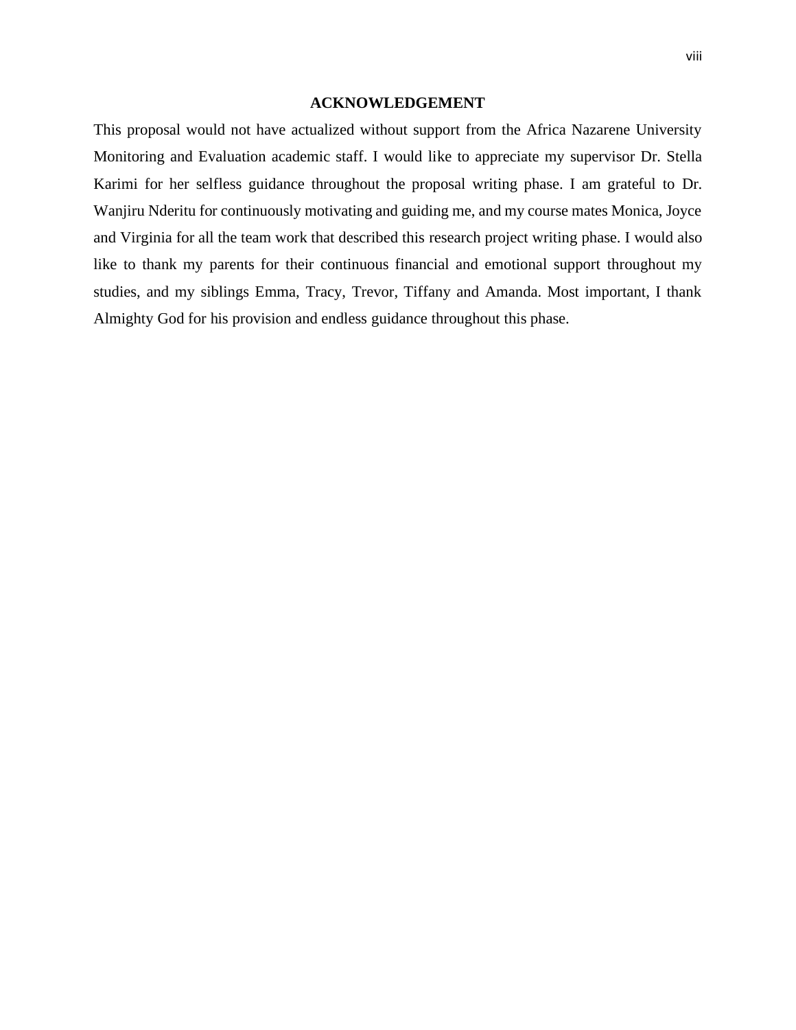#### **ACKNOWLEDGEMENT**

<span id="page-8-0"></span>This proposal would not have actualized without support from the Africa Nazarene University Monitoring and Evaluation academic staff. I would like to appreciate my supervisor Dr. Stella Karimi for her selfless guidance throughout the proposal writing phase. I am grateful to Dr. Wanjiru Nderitu for continuously motivating and guiding me, and my course mates Monica, Joyce and Virginia for all the team work that described this research project writing phase. I would also like to thank my parents for their continuous financial and emotional support throughout my studies, and my siblings Emma, Tracy, Trevor, Tiffany and Amanda. Most important, I thank Almighty God for his provision and endless guidance throughout this phase.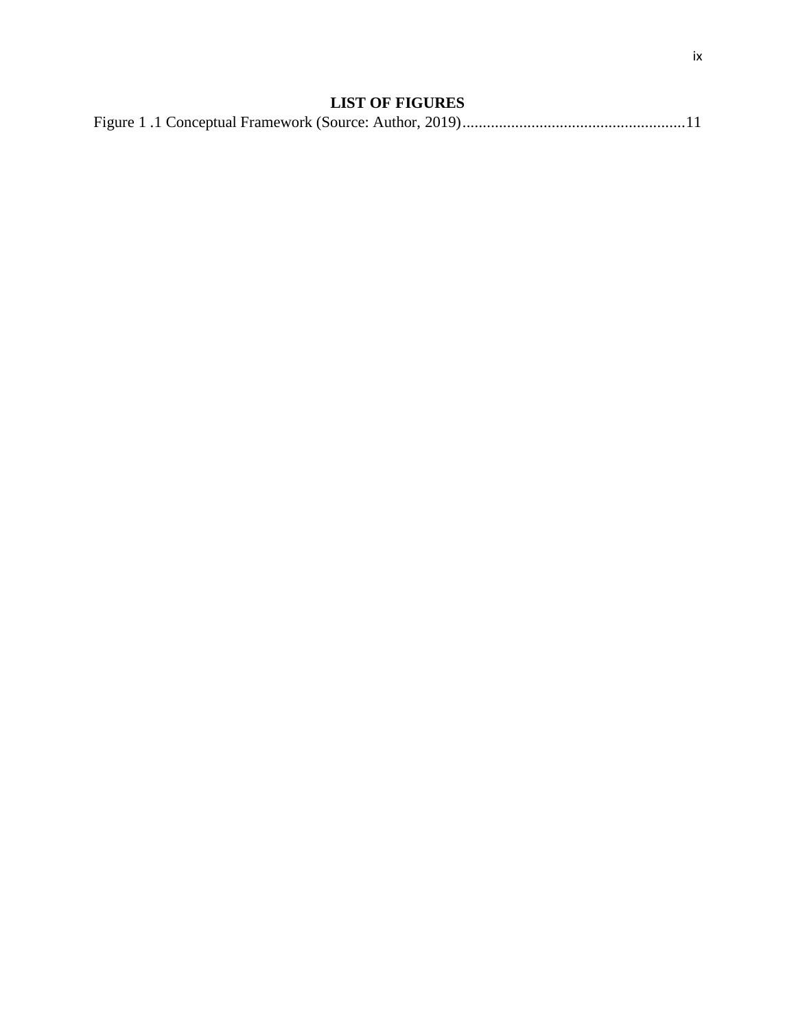# **LIST OF FIGURES**

<span id="page-9-0"></span>

|--|--|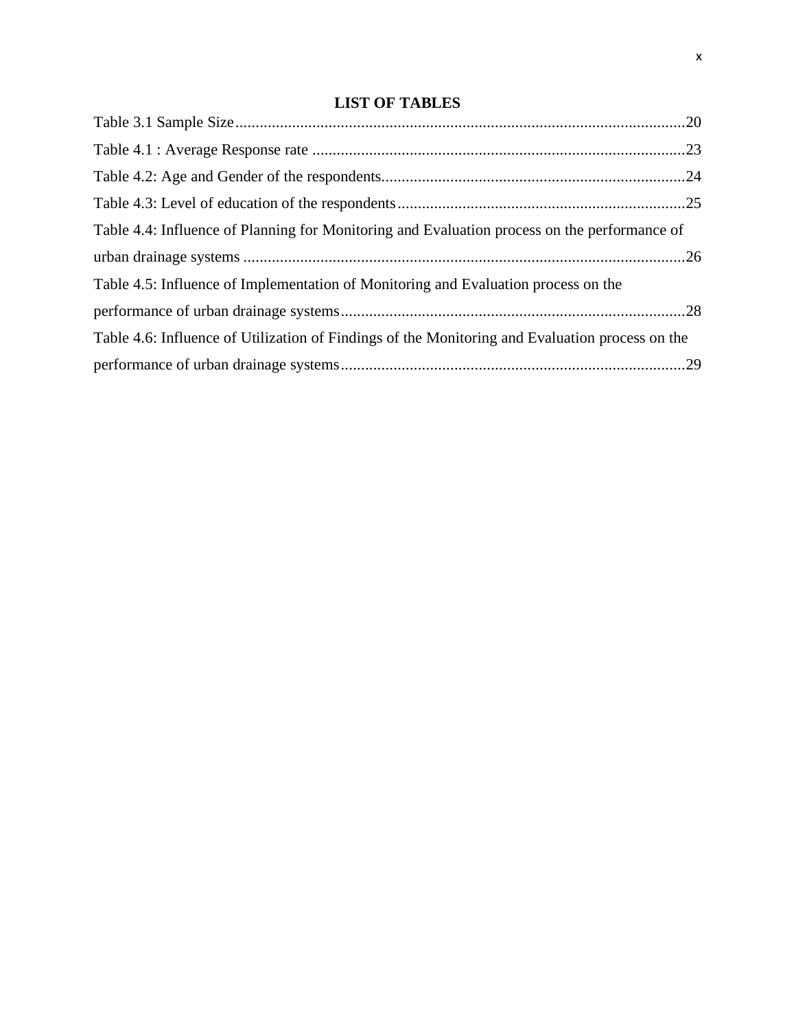# **LIST OF TABLES**

<span id="page-10-0"></span>

| Table 4.4: Influence of Planning for Monitoring and Evaluation process on the performance of    |  |
|-------------------------------------------------------------------------------------------------|--|
|                                                                                                 |  |
| Table 4.5: Influence of Implementation of Monitoring and Evaluation process on the              |  |
|                                                                                                 |  |
| Table 4.6: Influence of Utilization of Findings of the Monitoring and Evaluation process on the |  |
|                                                                                                 |  |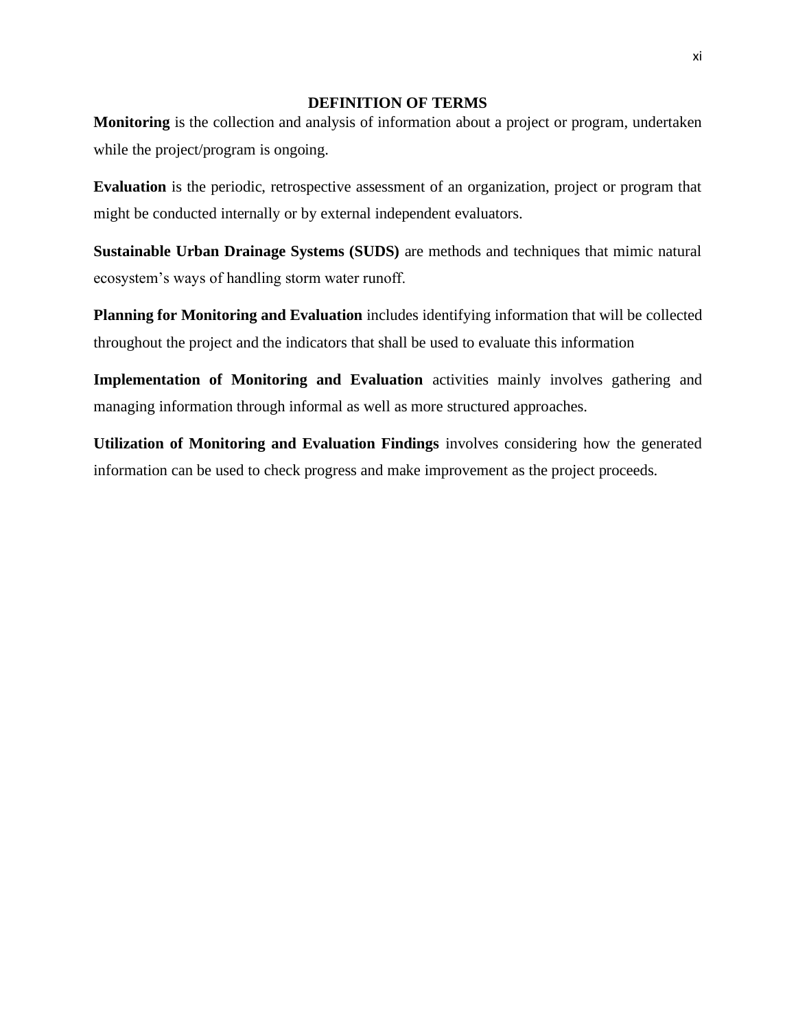#### **DEFINITION OF TERMS**

<span id="page-11-0"></span>**Monitoring** is the collection and analysis of information about a project or program, undertaken while the project/program is ongoing.

**Evaluation** is the periodic, retrospective assessment of an organization, project or program that might be conducted internally or by external independent evaluators.

**Sustainable Urban Drainage Systems (SUDS)** are methods and techniques that mimic natural ecosystem's ways of handling storm water runoff.

**Planning for Monitoring and Evaluation** includes identifying information that will be collected throughout the project and the indicators that shall be used to evaluate this information

**Implementation of Monitoring and Evaluation** activities mainly involves gathering and managing information through informal as well as more structured approaches.

**Utilization of Monitoring and Evaluation Findings** involves considering how the generated information can be used to check progress and make improvement as the project proceeds.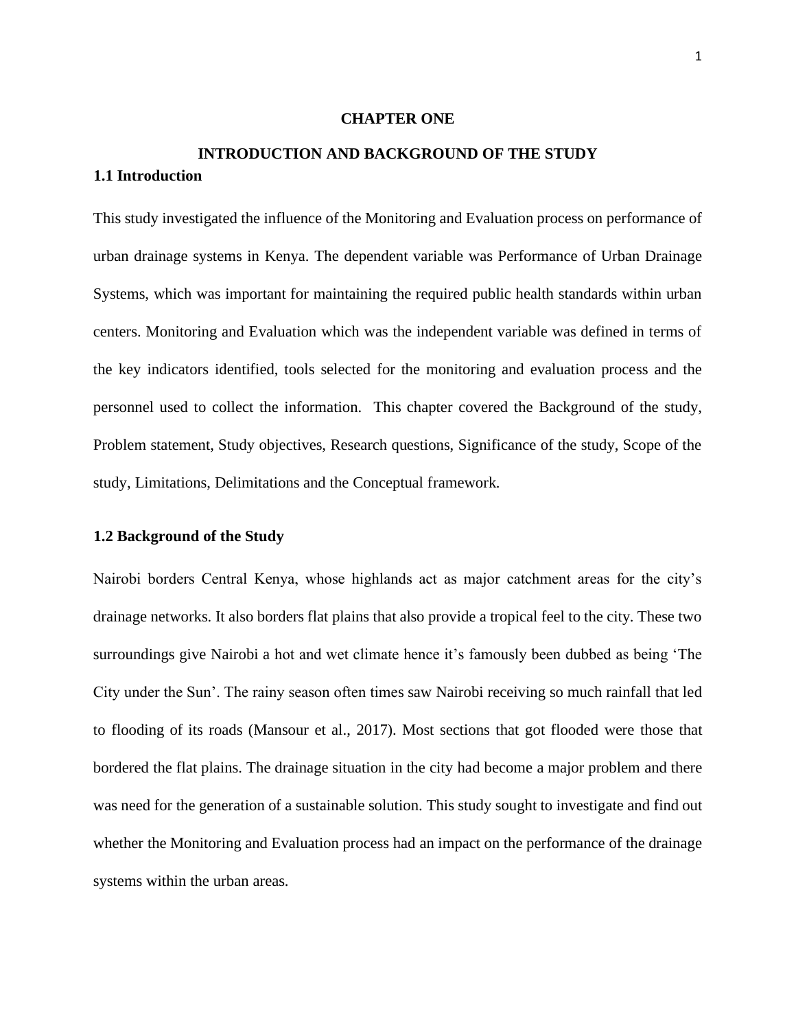#### **CHAPTER ONE**

# <span id="page-12-2"></span><span id="page-12-1"></span><span id="page-12-0"></span>**INTRODUCTION AND BACKGROUND OF THE STUDY 1.1 Introduction**

This study investigated the influence of the Monitoring and Evaluation process on performance of urban drainage systems in Kenya. The dependent variable was Performance of Urban Drainage Systems, which was important for maintaining the required public health standards within urban centers. Monitoring and Evaluation which was the independent variable was defined in terms of the key indicators identified, tools selected for the monitoring and evaluation process and the personnel used to collect the information. This chapter covered the Background of the study, Problem statement, Study objectives, Research questions, Significance of the study, Scope of the study, Limitations, Delimitations and the Conceptual framework.

#### <span id="page-12-3"></span>**1.2 Background of the Study**

Nairobi borders Central Kenya, whose highlands act as major catchment areas for the city's drainage networks. It also borders flat plains that also provide a tropical feel to the city. These two surroundings give Nairobi a hot and wet climate hence it's famously been dubbed as being 'The City under the Sun'. The rainy season often times saw Nairobi receiving so much rainfall that led to flooding of its roads (Mansour et al., 2017). Most sections that got flooded were those that bordered the flat plains. The drainage situation in the city had become a major problem and there was need for the generation of a sustainable solution. This study sought to investigate and find out whether the Monitoring and Evaluation process had an impact on the performance of the drainage systems within the urban areas.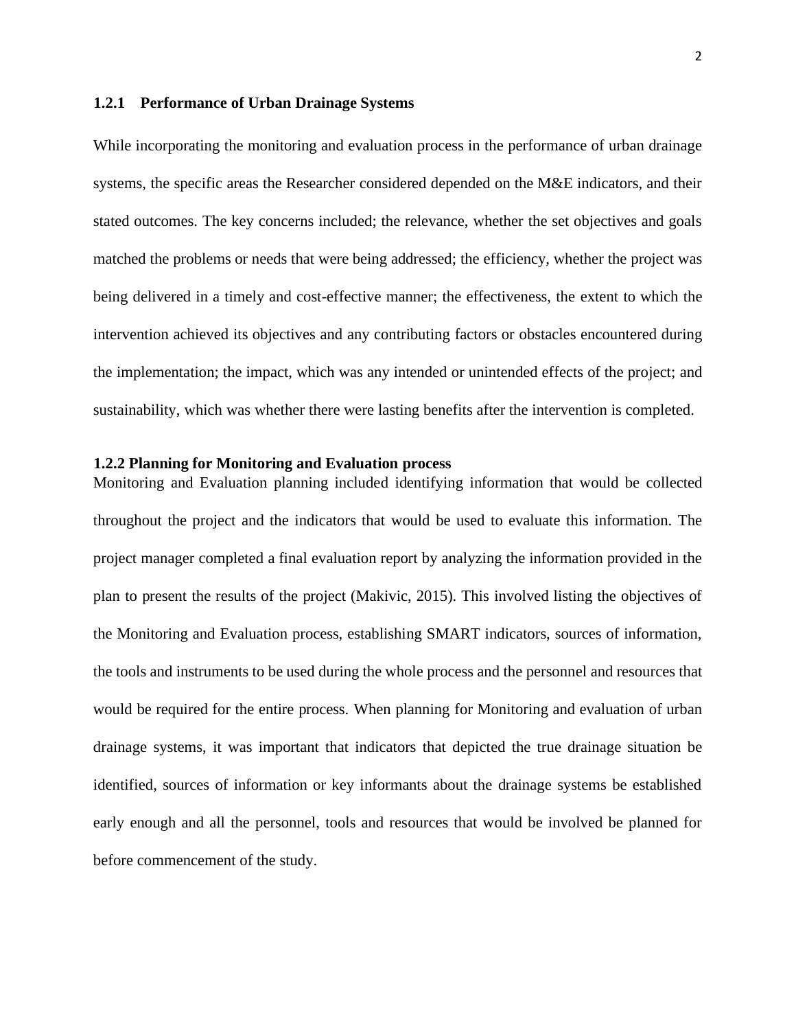#### <span id="page-13-0"></span>**1.2.1 Performance of Urban Drainage Systems**

While incorporating the monitoring and evaluation process in the performance of urban drainage systems, the specific areas the Researcher considered depended on the M&E indicators, and their stated outcomes. The key concerns included; the relevance, whether the set objectives and goals matched the problems or needs that were being addressed; the efficiency, whether the project was being delivered in a timely and cost-effective manner; the effectiveness, the extent to which the intervention achieved its objectives and any contributing factors or obstacles encountered during the implementation; the impact, which was any intended or unintended effects of the project; and sustainability, which was whether there were lasting benefits after the intervention is completed.

#### <span id="page-13-1"></span>**1.2.2 Planning for Monitoring and Evaluation process**

Monitoring and Evaluation planning included identifying information that would be collected throughout the project and the indicators that would be used to evaluate this information. The project manager completed a final evaluation report by analyzing the information provided in the plan to present the results of the project (Makivic, 2015). This involved listing the objectives of the Monitoring and Evaluation process, establishing SMART indicators, sources of information, the tools and instruments to be used during the whole process and the personnel and resources that would be required for the entire process. When planning for Monitoring and evaluation of urban drainage systems, it was important that indicators that depicted the true drainage situation be identified, sources of information or key informants about the drainage systems be established early enough and all the personnel, tools and resources that would be involved be planned for before commencement of the study.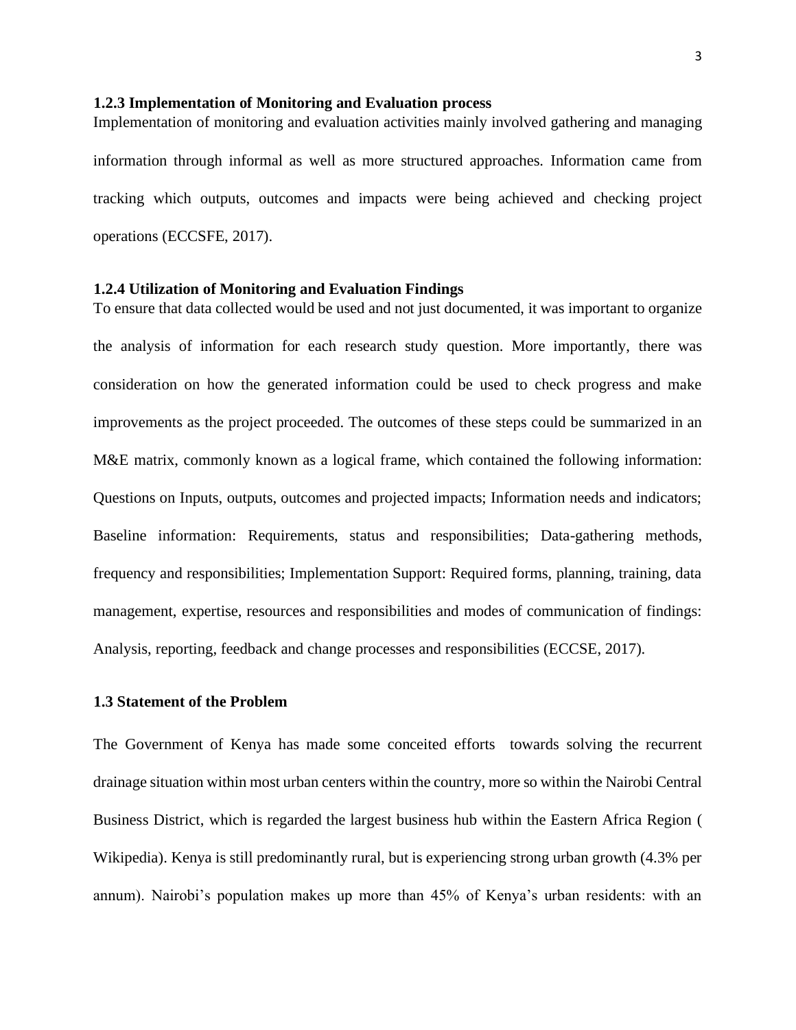#### <span id="page-14-0"></span>**1.2.3 Implementation of Monitoring and Evaluation process**

Implementation of monitoring and evaluation activities mainly involved gathering and managing information through informal as well as more structured approaches. Information came from tracking which outputs, outcomes and impacts were being achieved and checking project operations (ECCSFE, 2017).

#### <span id="page-14-1"></span>**1.2.4 Utilization of Monitoring and Evaluation Findings**

To ensure that data collected would be used and not just documented, it was important to organize the analysis of information for each research study question. More importantly, there was consideration on how the generated information could be used to check progress and make improvements as the project proceeded. The outcomes of these steps could be summarized in an M&E matrix, commonly known as a logical frame, which contained the following information: Questions on Inputs, outputs, outcomes and projected impacts; Information needs and indicators; Baseline information: Requirements, status and responsibilities; Data-gathering methods, frequency and responsibilities; Implementation Support: Required forms, planning, training, data management, expertise, resources and responsibilities and modes of communication of findings: Analysis, reporting, feedback and change processes and responsibilities (ECCSE, 2017).

#### <span id="page-14-2"></span>**1.3 Statement of the Problem**

The Government of Kenya has made some conceited efforts towards solving the recurrent drainage situation within most urban centers within the country, more so within the Nairobi Central Business District, which is regarded the largest business hub within the Eastern Africa Region ( Wikipedia). Kenya is still predominantly rural, but is experiencing strong urban growth (4.3% per annum). Nairobi's population makes up more than 45% of Kenya's urban residents: with an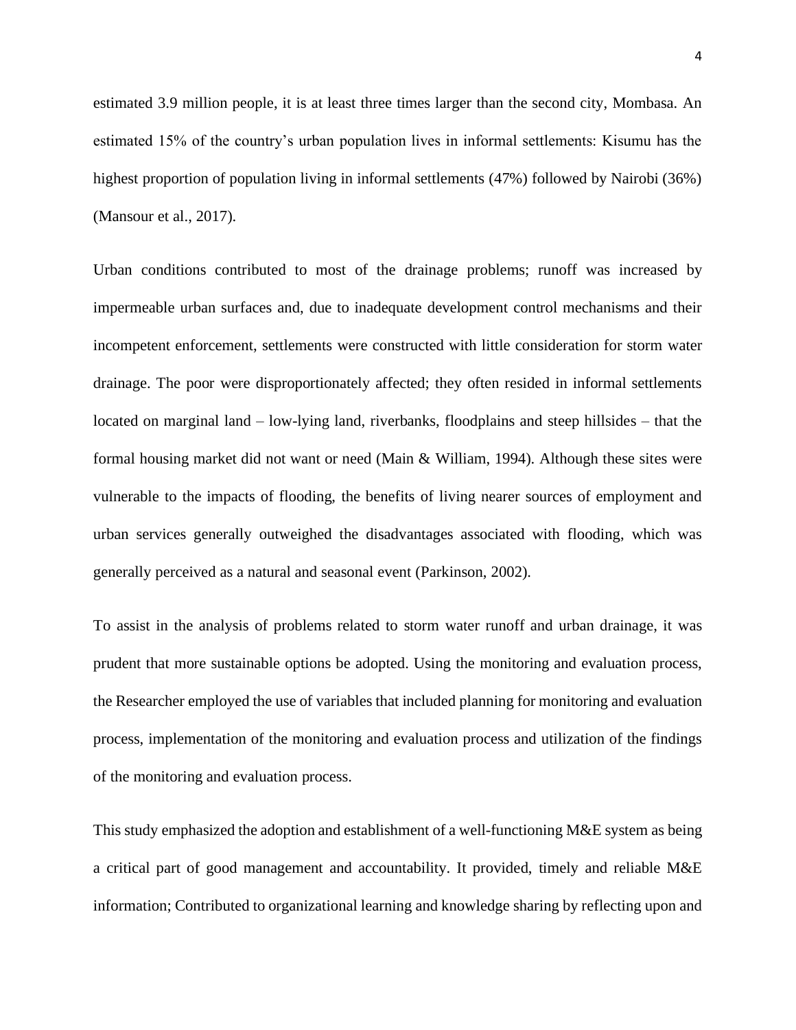estimated 3.9 million people, it is at least three times larger than the second city, Mombasa. An estimated 15% of the country's urban population lives in informal settlements: Kisumu has the highest proportion of population living in informal settlements (47%) followed by Nairobi (36%) (Mansour et al., 2017).

Urban conditions contributed to most of the drainage problems; runoff was increased by impermeable urban surfaces and, due to inadequate development control mechanisms and their incompetent enforcement, settlements were constructed with little consideration for storm water drainage. The poor were disproportionately affected; they often resided in informal settlements located on marginal land – low-lying land, riverbanks, floodplains and steep hillsides – that the formal housing market did not want or need (Main & William, 1994). Although these sites were vulnerable to the impacts of flooding, the benefits of living nearer sources of employment and urban services generally outweighed the disadvantages associated with flooding, which was generally perceived as a natural and seasonal event (Parkinson, 2002).

To assist in the analysis of problems related to storm water runoff and urban drainage, it was prudent that more sustainable options be adopted. Using the monitoring and evaluation process, the Researcher employed the use of variables that included planning for monitoring and evaluation process, implementation of the monitoring and evaluation process and utilization of the findings of the monitoring and evaluation process.

This study emphasized the adoption and establishment of a well-functioning M&E system as being a critical part of good management and accountability. It provided, timely and reliable M&E information; Contributed to organizational learning and knowledge sharing by reflecting upon and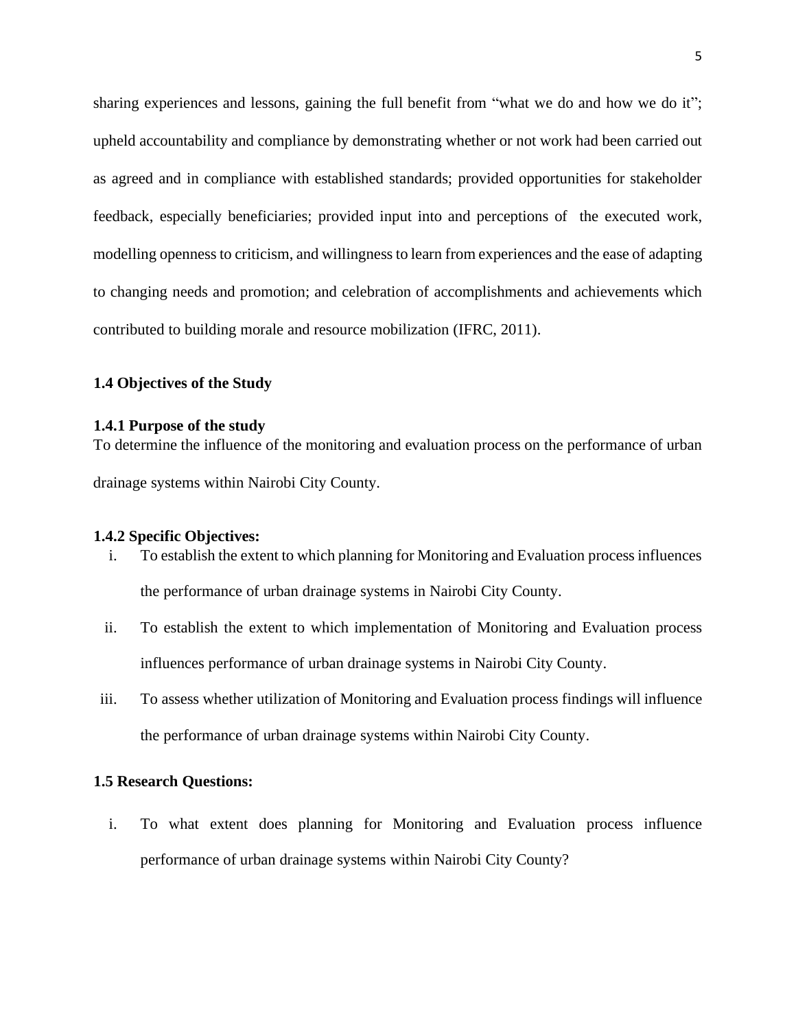sharing experiences and lessons, gaining the full benefit from "what we do and how we do it"; upheld accountability and compliance by demonstrating whether or not work had been carried out as agreed and in compliance with established standards; provided opportunities for stakeholder feedback, especially beneficiaries; provided input into and perceptions of the executed work, modelling openness to criticism, and willingness to learn from experiences and the ease of adapting to changing needs and promotion; and celebration of accomplishments and achievements which contributed to building morale and resource mobilization (IFRC, 2011).

#### <span id="page-16-0"></span>**1.4 Objectives of the Study**

#### <span id="page-16-1"></span>**1.4.1 Purpose of the study**

To determine the influence of the monitoring and evaluation process on the performance of urban drainage systems within Nairobi City County.

#### <span id="page-16-2"></span>**1.4.2 Specific Objectives:**

- i. To establish the extent to which planning for Monitoring and Evaluation processinfluences the performance of urban drainage systems in Nairobi City County.
- ii. To establish the extent to which implementation of Monitoring and Evaluation process influences performance of urban drainage systems in Nairobi City County.
- iii. To assess whether utilization of Monitoring and Evaluation process findings will influence the performance of urban drainage systems within Nairobi City County.

#### <span id="page-16-3"></span>**1.5 Research Questions:**

i. To what extent does planning for Monitoring and Evaluation process influence performance of urban drainage systems within Nairobi City County?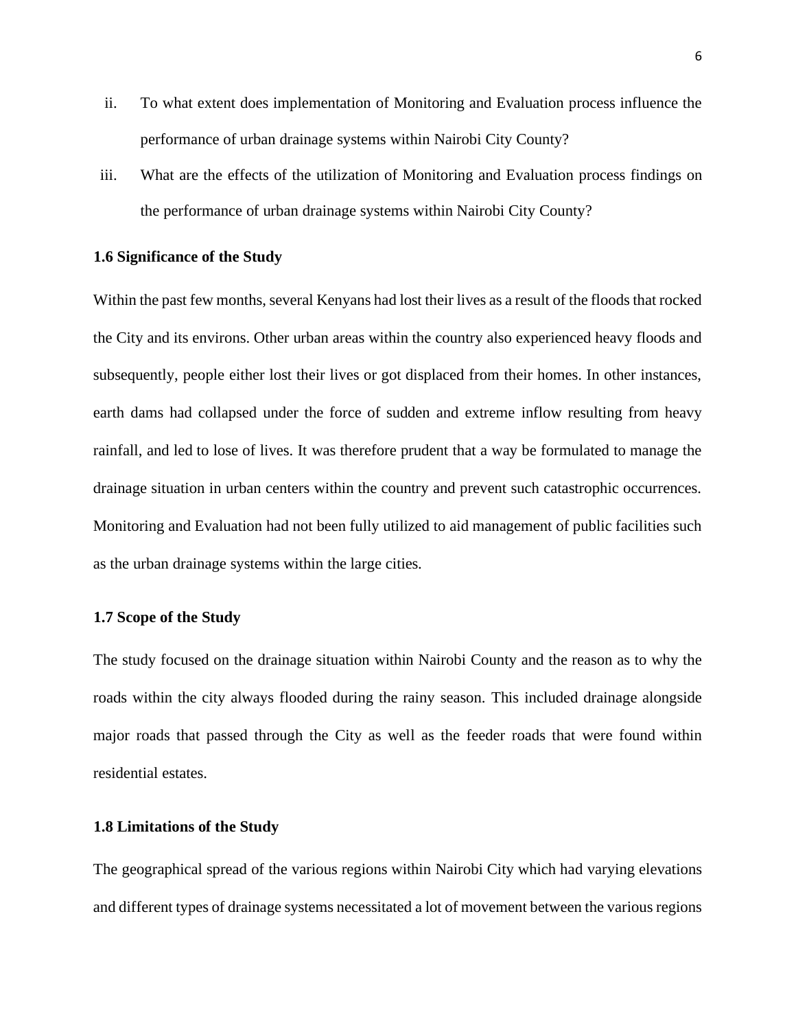- ii. To what extent does implementation of Monitoring and Evaluation process influence the performance of urban drainage systems within Nairobi City County?
- iii. What are the effects of the utilization of Monitoring and Evaluation process findings on the performance of urban drainage systems within Nairobi City County?

#### <span id="page-17-0"></span>**1.6 Significance of the Study**

Within the past few months, several Kenyans had lost their lives as a result of the floods that rocked the City and its environs. Other urban areas within the country also experienced heavy floods and subsequently, people either lost their lives or got displaced from their homes. In other instances, earth dams had collapsed under the force of sudden and extreme inflow resulting from heavy rainfall, and led to lose of lives. It was therefore prudent that a way be formulated to manage the drainage situation in urban centers within the country and prevent such catastrophic occurrences. Monitoring and Evaluation had not been fully utilized to aid management of public facilities such as the urban drainage systems within the large cities.

#### <span id="page-17-1"></span>**1.7 Scope of the Study**

The study focused on the drainage situation within Nairobi County and the reason as to why the roads within the city always flooded during the rainy season. This included drainage alongside major roads that passed through the City as well as the feeder roads that were found within residential estates.

#### <span id="page-17-2"></span>**1.8 Limitations of the Study**

The geographical spread of the various regions within Nairobi City which had varying elevations and different types of drainage systems necessitated a lot of movement between the various regions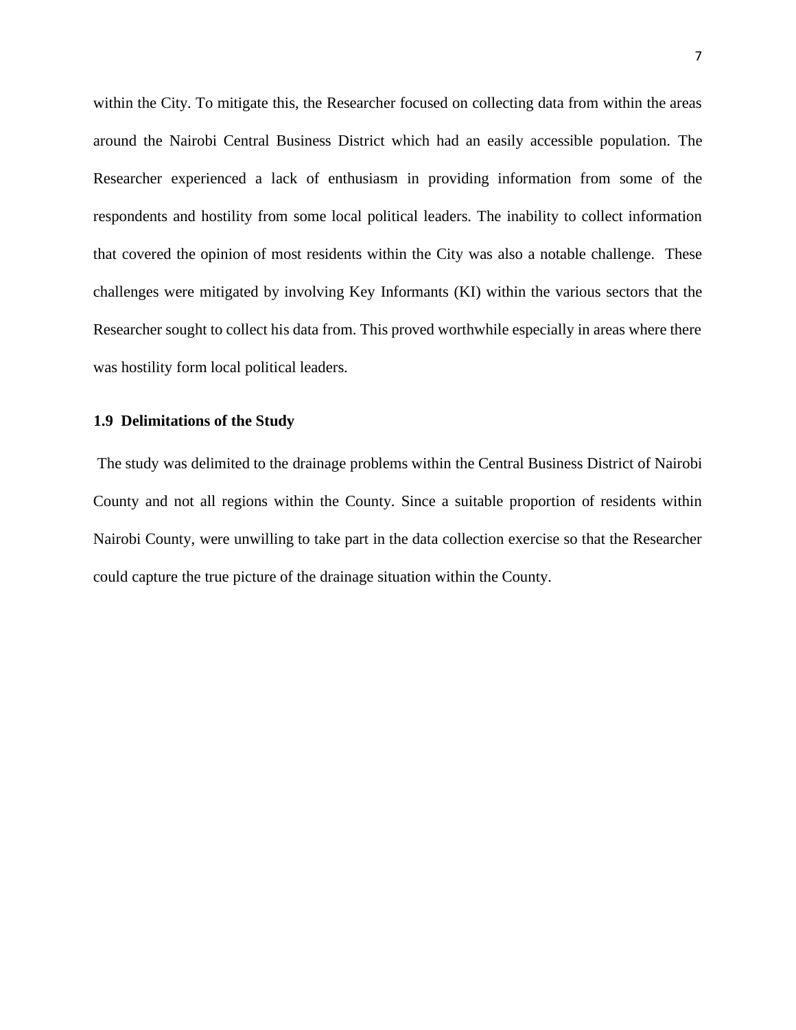within the City. To mitigate this, the Researcher focused on collecting data from within the areas around the Nairobi Central Business District which had an easily accessible population. The Researcher experienced a lack of enthusiasm in providing information from some of the respondents and hostility from some local political leaders. The inability to collect information that covered the opinion of most residents within the City was also a notable challenge. These challenges were mitigated by involving Key Informants (KI) within the various sectors that the Researcher sought to collect his data from. This proved worthwhile especially in areas where there was hostility form local political leaders.

#### <span id="page-18-0"></span>**1.9 Delimitations of the Study**

The study was delimited to the drainage problems within the Central Business District of Nairobi County and not all regions within the County. Since a suitable proportion of residents within Nairobi County, were unwilling to take part in the data collection exercise so that the Researcher could capture the true picture of the drainage situation within the County.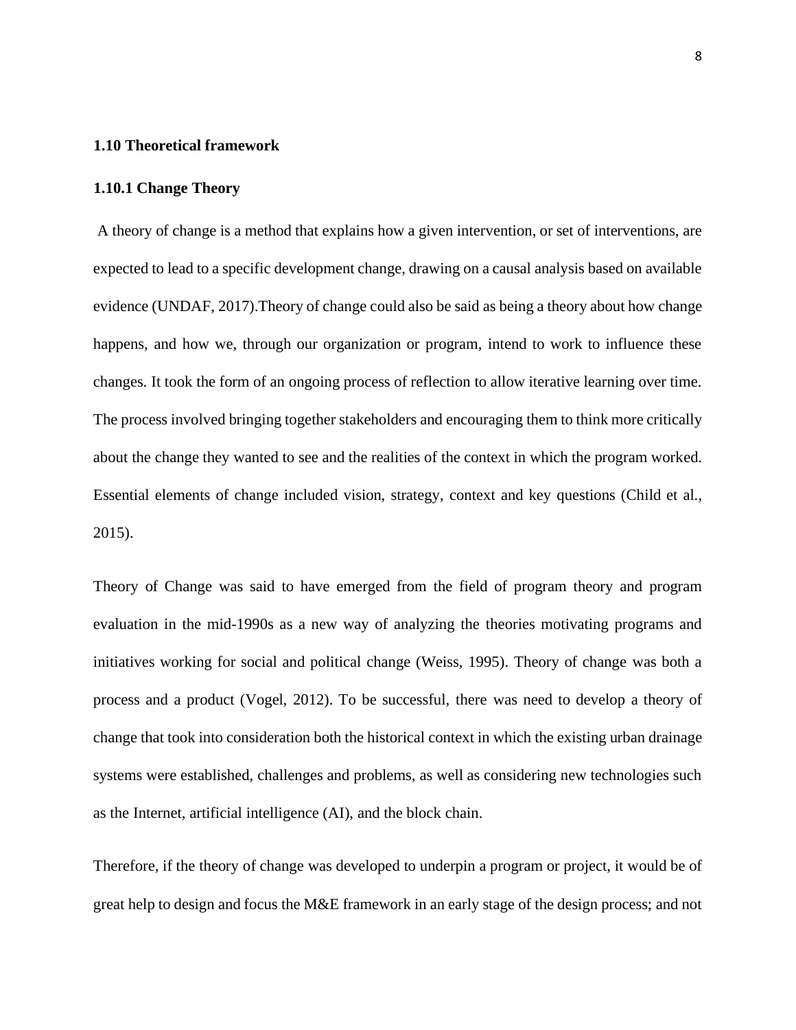### **1.10 Theoretical framework**

#### <span id="page-19-0"></span>**1.10.1 Change Theory**

A theory of change is a method that explains how a given intervention, or set of interventions, are expected to lead to a specific development change, drawing on a causal analysis based on available evidence (UNDAF, 2017).Theory of change could also be said as being a theory about how change happens, and how we, through our organization or program, intend to work to influence these changes. It took the form of an ongoing process of reflection to allow iterative learning over time. The process involved bringing together stakeholders and encouraging them to think more critically about the change they wanted to see and the realities of the context in which the program worked. Essential elements of change included vision, strategy, context and key questions (Child et al., 2015).

Theory of Change was said to have emerged from the field of program theory and [program](https://en.m.wikipedia.org/wiki/Program_evaluation)  [evaluation](https://en.m.wikipedia.org/wiki/Program_evaluation) in the mid-1990s as a new way of analyzing the theories motivating programs and initiatives working for social and political change (Weiss, 1995). Theory of change was both a process and a product (Vogel, 2012). To be successful, there was need to develop a theory of change that took into consideration both the historical context in which the existing urban drainage systems were established, challenges and problems, as well as considering new technologies such as the Internet, artificial intelligence (AI), and the block chain.

Therefore, if the theory of change was developed to underpin a program or project, it would be of great help to design and focus the M&E framework in an early stage of the design process; and not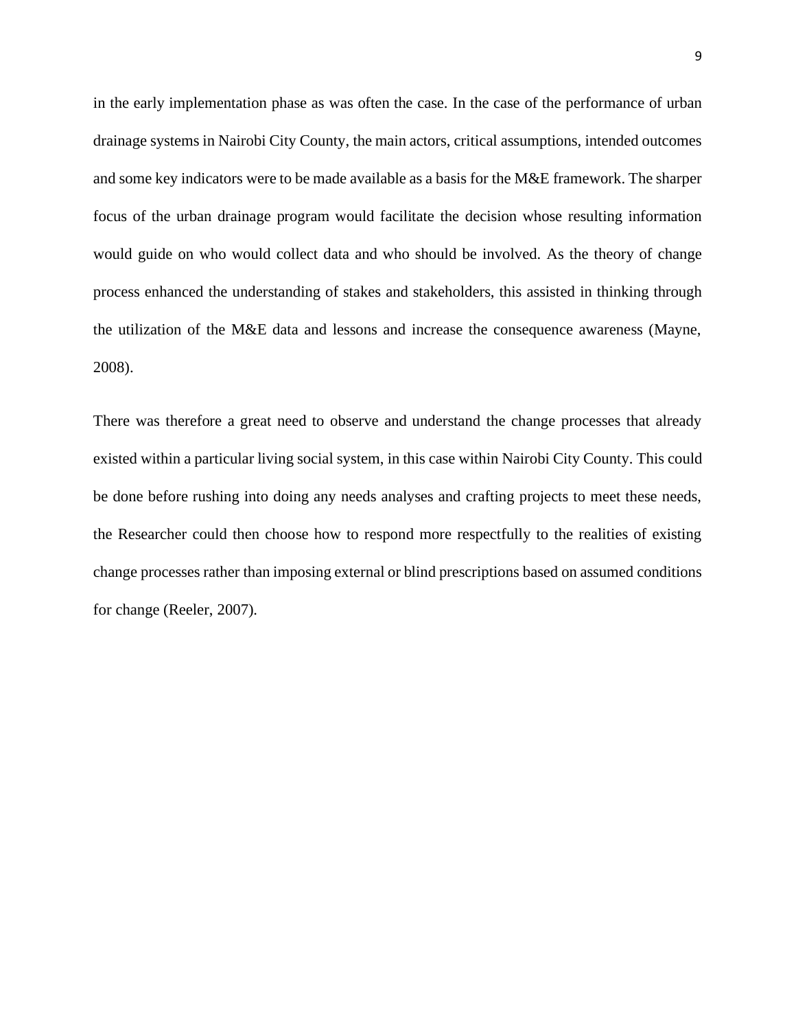in the early implementation phase as was often the case. In the case of the performance of urban drainage systems in Nairobi City County, the main actors, critical assumptions, intended outcomes and some key indicators were to be made available as a basis for the M&E framework. The sharper focus of the urban drainage program would facilitate the decision whose resulting information would guide on who would collect data and who should be involved. As the theory of change process enhanced the understanding of stakes and stakeholders, this assisted in thinking through the utilization of the M&E data and lessons and increase the consequence awareness (Mayne, 2008).

There was therefore a great need to observe and understand the change processes that already existed within a particular living social system, in this case within Nairobi City County. This could be done before rushing into doing any needs analyses and crafting projects to meet these needs, the Researcher could then choose how to respond more respectfully to the realities of existing change processes rather than imposing external or blind prescriptions based on assumed conditions for change (Reeler, 2007).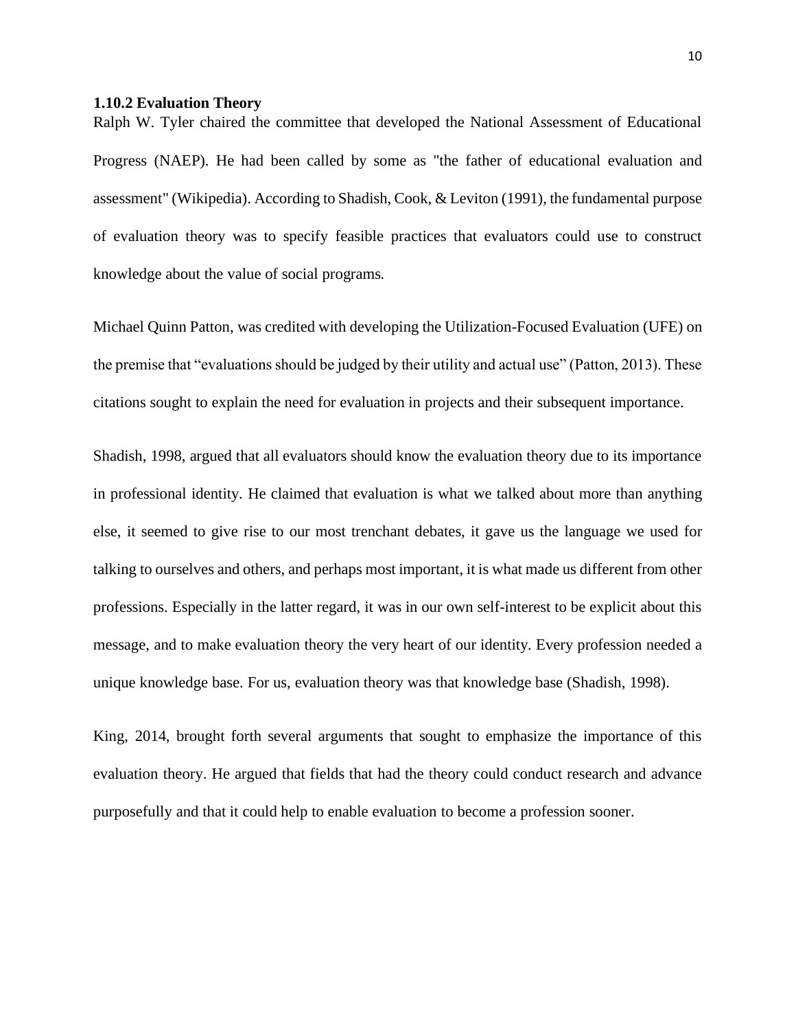#### <span id="page-21-0"></span>**1.10.2 Evaluation Theory**

Ralph W. Tyler chaired the committee that developed the National Assessment of Educational Progress (NAEP). He had been called by some as "the father of educational evaluation and assessment" (Wikipedia). According to Shadish, Cook, & Leviton (1991), the fundamental purpose of evaluation theory was to specify feasible practices that evaluators could use to construct knowledge about the value of social programs*.*

Michael Quinn Patton, was credited with developing the Utilization-Focused Evaluation (UFE) on the premise that "evaluations should be judged by their utility and actual use" (Patton, 2013). These citations sought to explain the need for evaluation in projects and their subsequent importance.

Shadish, 1998, argued that all evaluators should know the evaluation theory due to its importance in professional identity. He claimed that evaluation is what we talked about more than anything else, it seemed to give rise to our most trenchant debates, it gave us the language we used for talking to ourselves and others, and perhaps most important, it is what made us different from other professions. Especially in the latter regard, it was in our own self-interest to be explicit about this message, and to make evaluation theory the very heart of our identity. Every profession needed a unique knowledge base. For us, evaluation theory was that knowledge base (Shadish, 1998).

King, 2014, brought forth several arguments that sought to emphasize the importance of this evaluation theory. He argued that fields that had the theory could conduct research and advance purposefully and that it could help to enable evaluation to become a profession sooner.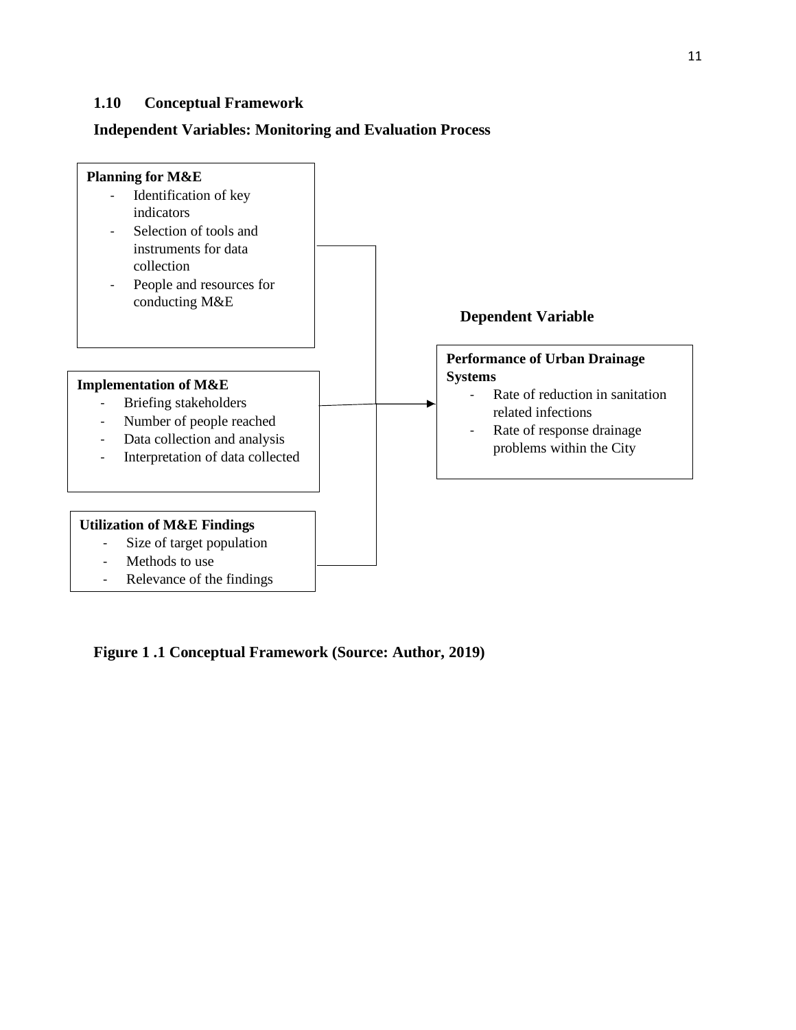### <span id="page-22-0"></span>**1.10 Conceptual Framework**

### **Independent Variables: Monitoring and Evaluation Process**



<span id="page-22-1"></span>**Figure 1 .1 Conceptual Framework (Source: Author, 2019)**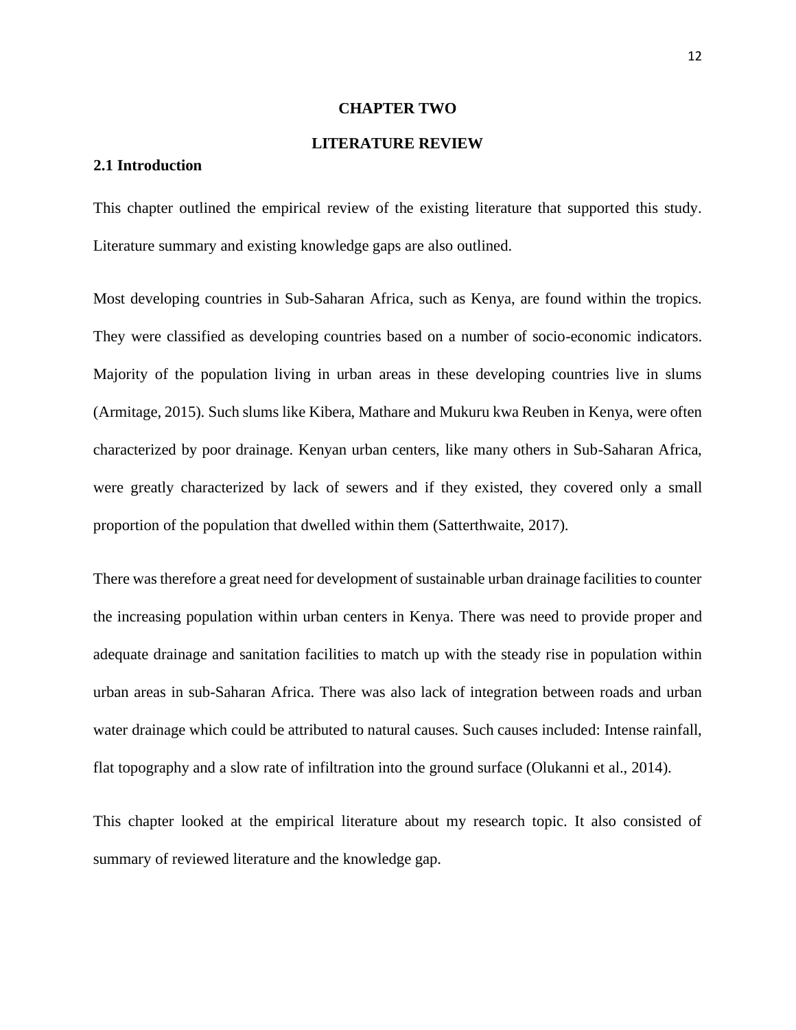#### **CHAPTER TWO**

### **LITERATURE REVIEW**

#### <span id="page-23-2"></span><span id="page-23-1"></span><span id="page-23-0"></span>**2.1 Introduction**

This chapter outlined the empirical review of the existing literature that supported this study. Literature summary and existing knowledge gaps are also outlined.

Most developing countries in Sub-Saharan Africa, such as Kenya, are found within the tropics. They were classified as developing countries based on a number of socio-economic indicators. Majority of the population living in urban areas in these developing countries live in slums (Armitage, 2015). Such slums like Kibera, Mathare and Mukuru kwa Reuben in Kenya, were often characterized by poor drainage. Kenyan urban centers, like many others in Sub-Saharan Africa, were greatly characterized by lack of sewers and if they existed, they covered only a small proportion of the population that dwelled within them (Satterthwaite, 2017).

There was therefore a great need for development of sustainable urban drainage facilities to counter the increasing population within urban centers in Kenya. There was need to provide proper and adequate drainage and sanitation facilities to match up with the steady rise in population within urban areas in sub-Saharan Africa. There was also lack of integration between roads and urban water drainage which could be attributed to natural causes. Such causes included: Intense rainfall, flat topography and a slow rate of infiltration into the ground surface (Olukanni et al., 2014).

This chapter looked at the empirical literature about my research topic. It also consisted of summary of reviewed literature and the knowledge gap.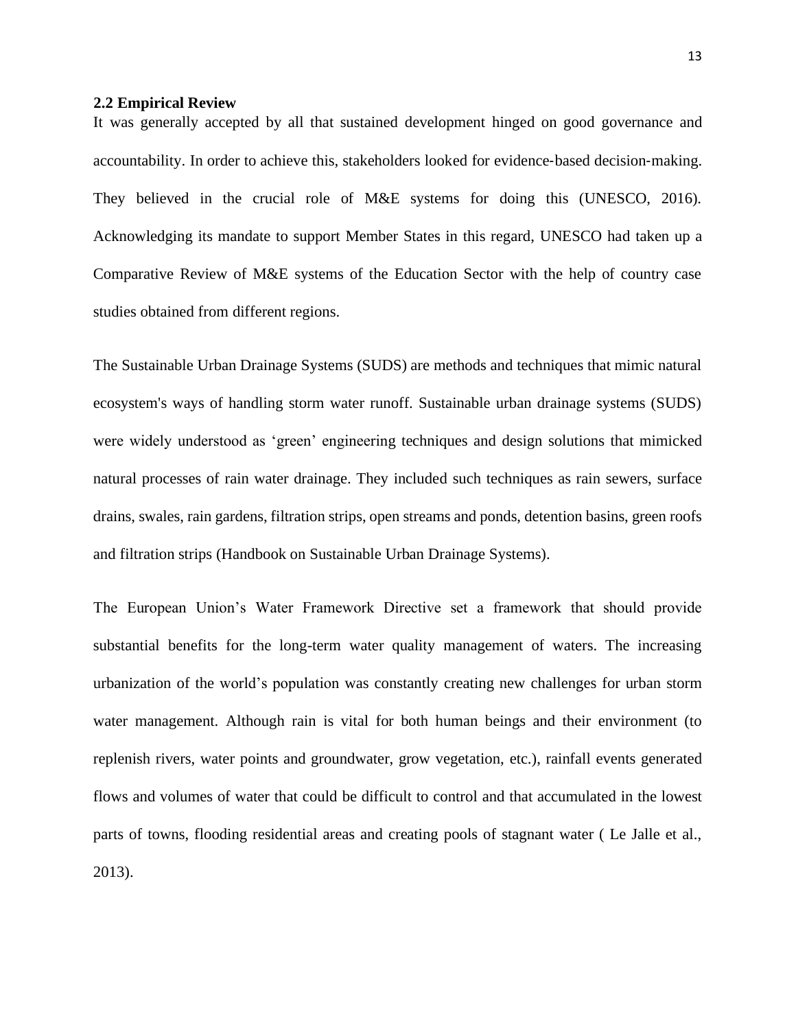#### <span id="page-24-0"></span>**2.2 Empirical Review**

It was generally accepted by all that sustained development hinged on good governance and accountability. In order to achieve this, stakeholders looked for evidence‐based decision‐making. They believed in the crucial role of M&E systems for doing this (UNESCO, 2016). Acknowledging its mandate to support Member States in this regard, UNESCO had taken up a Comparative Review of M&E systems of the Education Sector with the help of country case studies obtained from different regions.

The Sustainable Urban Drainage Systems (SUDS) are methods and techniques that mimic natural ecosystem's ways of handling storm water runoff. Sustainable urban drainage systems (SUDS) were widely understood as 'green' engineering techniques and design solutions that mimicked natural processes of rain water drainage. They included such techniques as rain sewers, surface drains, swales, rain gardens, filtration strips, open streams and ponds, detention basins, green roofs and filtration strips (Handbook on Sustainable Urban Drainage Systems).

The European Union's Water Framework Directive set a framework that should provide substantial benefits for the long-term water quality management of waters. The increasing urbanization of the world's population was constantly creating new challenges for urban storm water management. Although rain is vital for both human beings and their environment (to replenish rivers, water points and groundwater, grow vegetation, etc.), rainfall events generated flows and volumes of water that could be difficult to control and that accumulated in the lowest parts of towns, flooding residential areas and creating pools of stagnant water ( Le Jalle et al., 2013).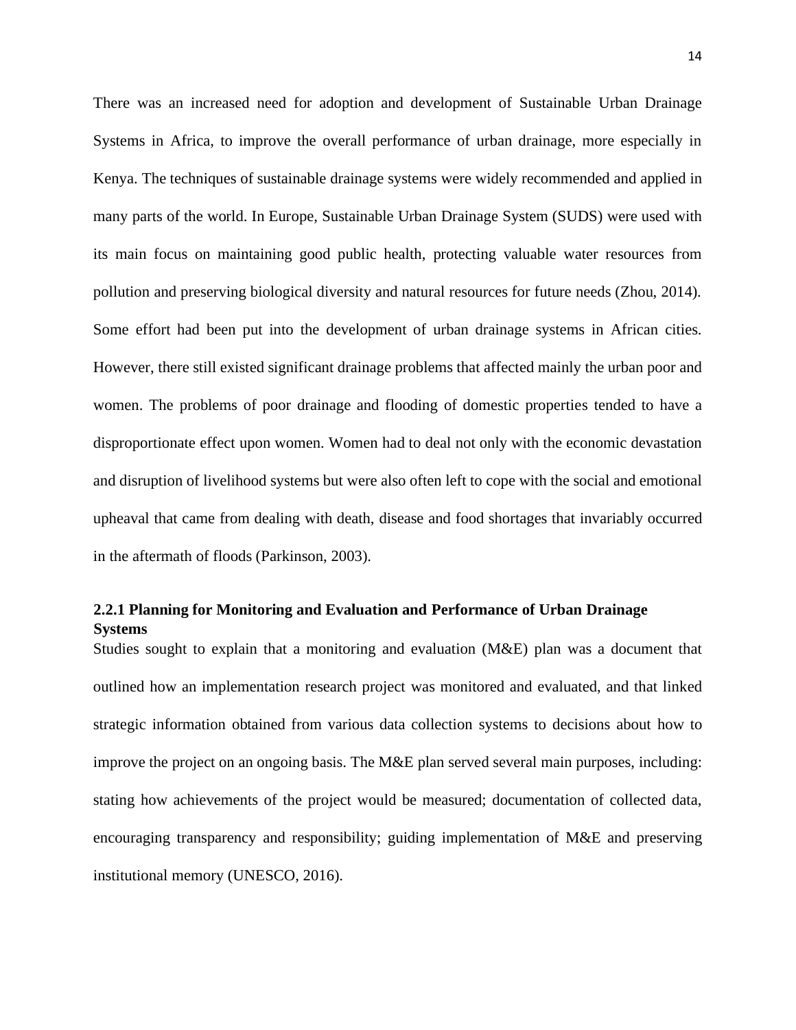There was an increased need for adoption and development of Sustainable Urban Drainage Systems in Africa, to improve the overall performance of urban drainage, more especially in Kenya. The techniques of sustainable drainage systems were widely recommended and applied in many parts of the world. In Europe, Sustainable Urban Drainage System (SUDS) were used with its main focus on maintaining good public health, protecting valuable water resources from pollution and preserving biological diversity and natural resources for future needs (Zhou, 2014). Some effort had been put into the development of urban drainage systems in African cities. However, there still existed significant drainage problems that affected mainly the urban poor and women. The problems of poor drainage and flooding of domestic properties tended to have a disproportionate effect upon women. Women had to deal not only with the economic devastation and disruption of livelihood systems but were also often left to cope with the social and emotional upheaval that came from dealing with death, disease and food shortages that invariably occurred in the aftermath of floods (Parkinson, 2003).

### <span id="page-25-0"></span>**2.2.1 Planning for Monitoring and Evaluation and Performance of Urban Drainage Systems**

Studies sought to explain that a monitoring and evaluation (M&E) plan was a document that outlined how an implementation research project was monitored and evaluated, and that linked strategic information obtained from various data collection systems to decisions about how to improve the project on an ongoing basis. The M&E plan served several main purposes, including: stating how achievements of the project would be measured; documentation of collected data, encouraging transparency and responsibility; guiding implementation of M&E and preserving institutional memory (UNESCO, 2016).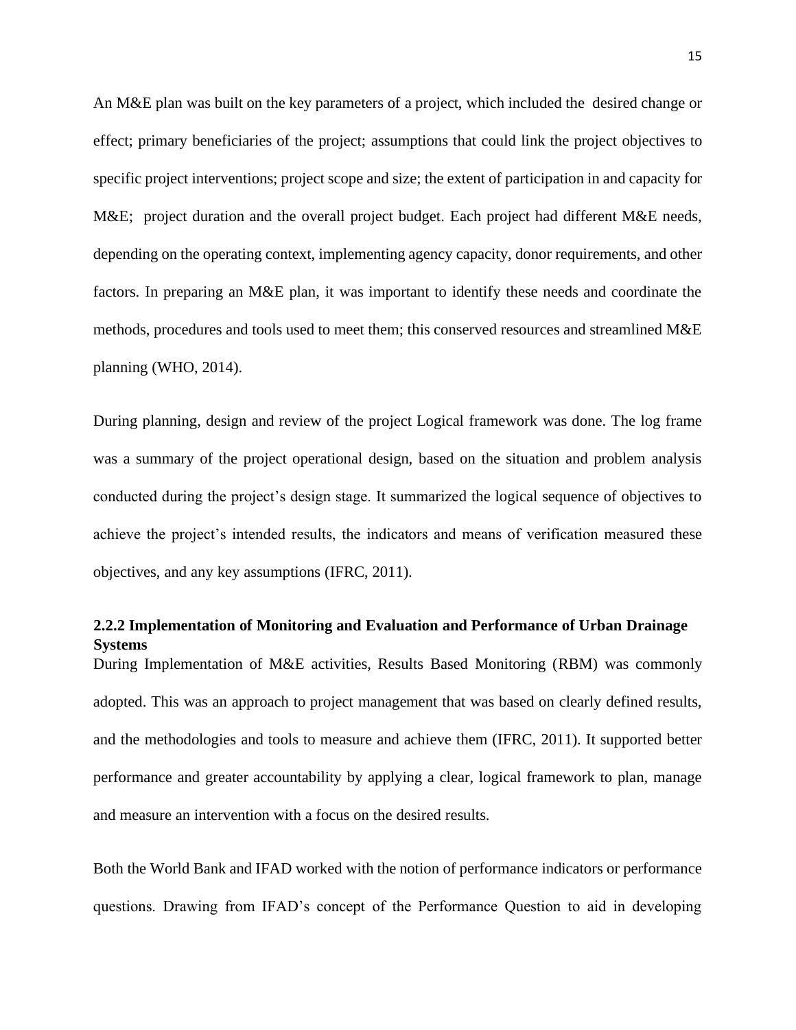An M&E plan was built on the key parameters of a project, which included the desired change or effect; primary beneficiaries of the project; assumptions that could link the project objectives to specific project interventions; project scope and size; the extent of participation in and capacity for M&E; project duration and the overall project budget. Each project had different M&E needs, depending on the operating context, implementing agency capacity, donor requirements, and other factors. In preparing an M&E plan, it was important to identify these needs and coordinate the methods, procedures and tools used to meet them; this conserved resources and streamlined M&E planning (WHO, 2014).

During planning, design and review of the project Logical framework was done. The log frame was a summary of the project operational design, based on the situation and problem analysis conducted during the project's design stage. It summarized the logical sequence of objectives to achieve the project's intended results, the indicators and means of verification measured these objectives, and any key assumptions (IFRC, 2011).

### <span id="page-26-0"></span>**2.2.2 Implementation of Monitoring and Evaluation and Performance of Urban Drainage Systems**

During Implementation of M&E activities, Results Based Monitoring (RBM) was commonly adopted. This was an approach to project management that was based on clearly defined results, and the methodologies and tools to measure and achieve them (IFRC, 2011). It supported better performance and greater accountability by applying a clear, logical framework to plan, manage and measure an intervention with a focus on the desired results.

Both the World Bank and IFAD worked with the notion of performance indicators or performance questions. Drawing from IFAD's concept of the Performance Question to aid in developing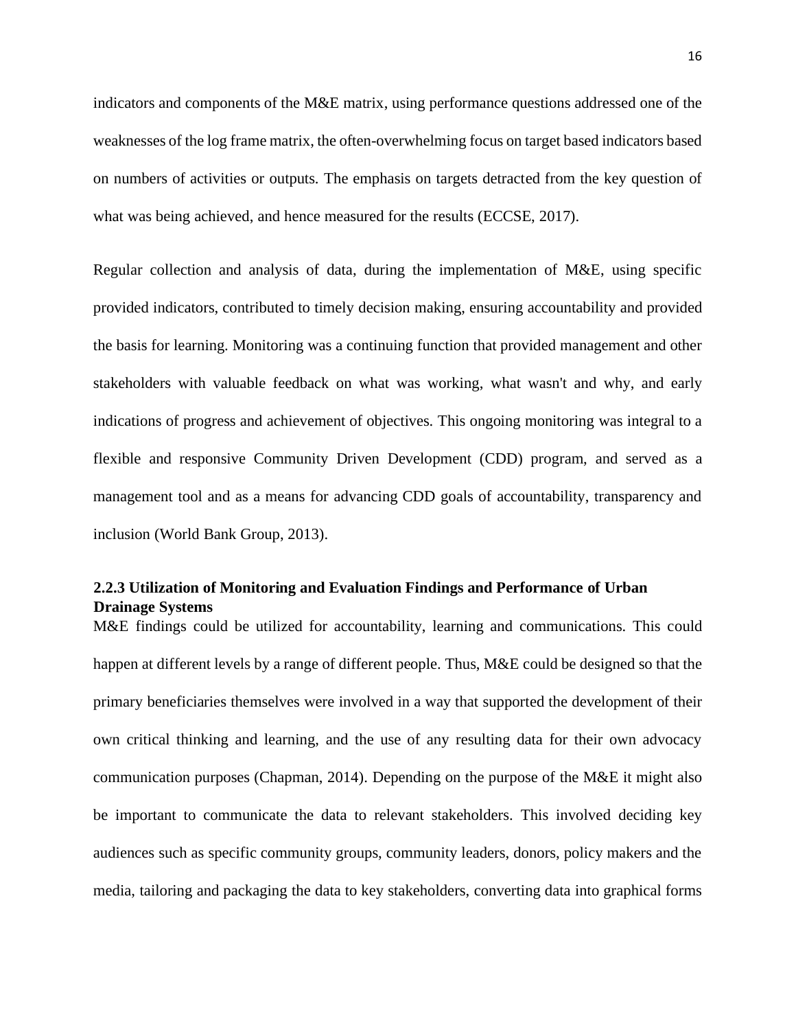indicators and components of the M&E matrix, using performance questions addressed one of the weaknesses of the log frame matrix, the often-overwhelming focus on target based indicators based on numbers of activities or outputs. The emphasis on targets detracted from the key question of what was being achieved, and hence measured for the results (ECCSE, 2017).

Regular collection and analysis of data, during the implementation of M&E, using specific provided indicators, contributed to timely decision making, ensuring accountability and provided the basis for learning. Monitoring was a continuing function that provided management and other stakeholders with valuable feedback on what was working, what wasn't and why, and early indications of progress and achievement of objectives. This ongoing monitoring was integral to a flexible and responsive Community Driven Development (CDD) program, and served as a management tool and as a means for advancing CDD goals of accountability, transparency and inclusion (World Bank Group, 2013).

## <span id="page-27-0"></span>**2.2.3 Utilization of Monitoring and Evaluation Findings and Performance of Urban Drainage Systems**

M&E findings could be utilized for accountability, learning and communications. This could happen at different levels by a range of different people. Thus, M&E could be designed so that the primary beneficiaries themselves were involved in a way that supported the development of their own critical thinking and learning, and the use of any resulting data for their own advocacy communication purposes (Chapman, 2014). Depending on the purpose of the M&E it might also be important to communicate the data to relevant stakeholders. This involved deciding key audiences such as specific community groups, community leaders, donors, policy makers and the media, tailoring and packaging the data to key stakeholders, converting data into graphical forms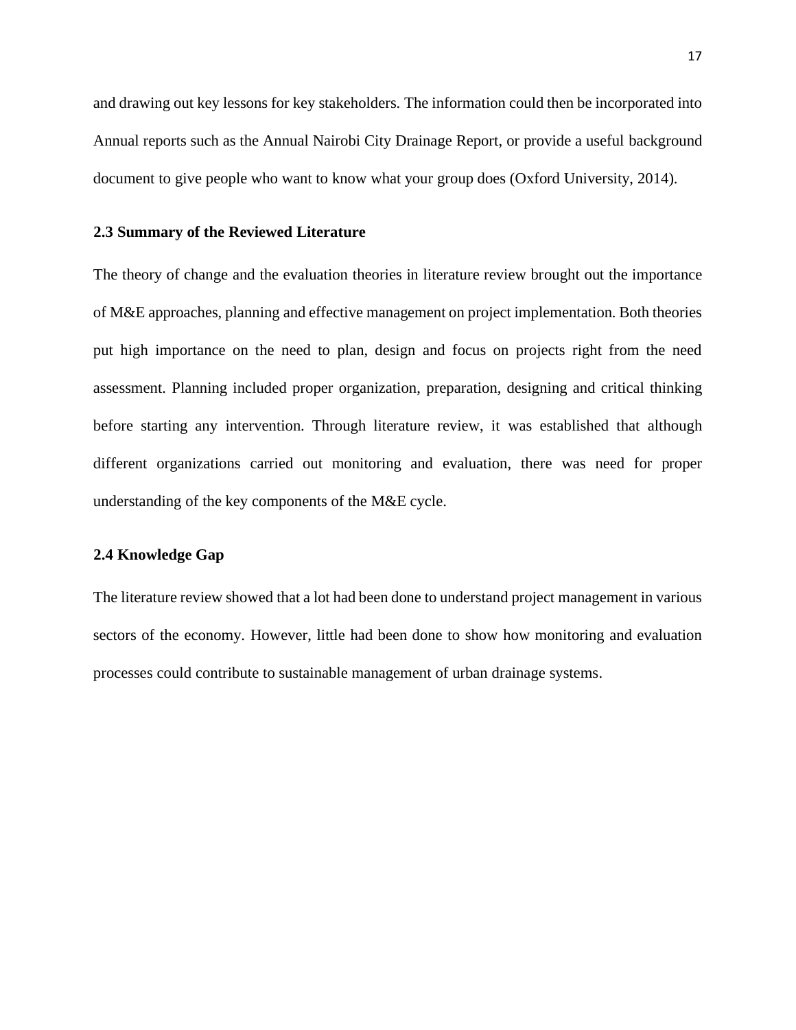and drawing out key lessons for key stakeholders. The information could then be incorporated into Annual reports such as the Annual Nairobi City Drainage Report, or provide a useful background document to give people who want to know what your group does (Oxford University, 2014).

#### <span id="page-28-0"></span>**2.3 Summary of the Reviewed Literature**

The theory of change and the evaluation theories in literature review brought out the importance of M&E approaches, planning and effective management on project implementation. Both theories put high importance on the need to plan, design and focus on projects right from the need assessment. Planning included proper organization, preparation, designing and critical thinking before starting any intervention. Through literature review, it was established that although different organizations carried out monitoring and evaluation, there was need for proper understanding of the key components of the M&E cycle.

#### <span id="page-28-1"></span>**2.4 Knowledge Gap**

The literature review showed that a lot had been done to understand project management in various sectors of the economy. However, little had been done to show how monitoring and evaluation processes could contribute to sustainable management of urban drainage systems.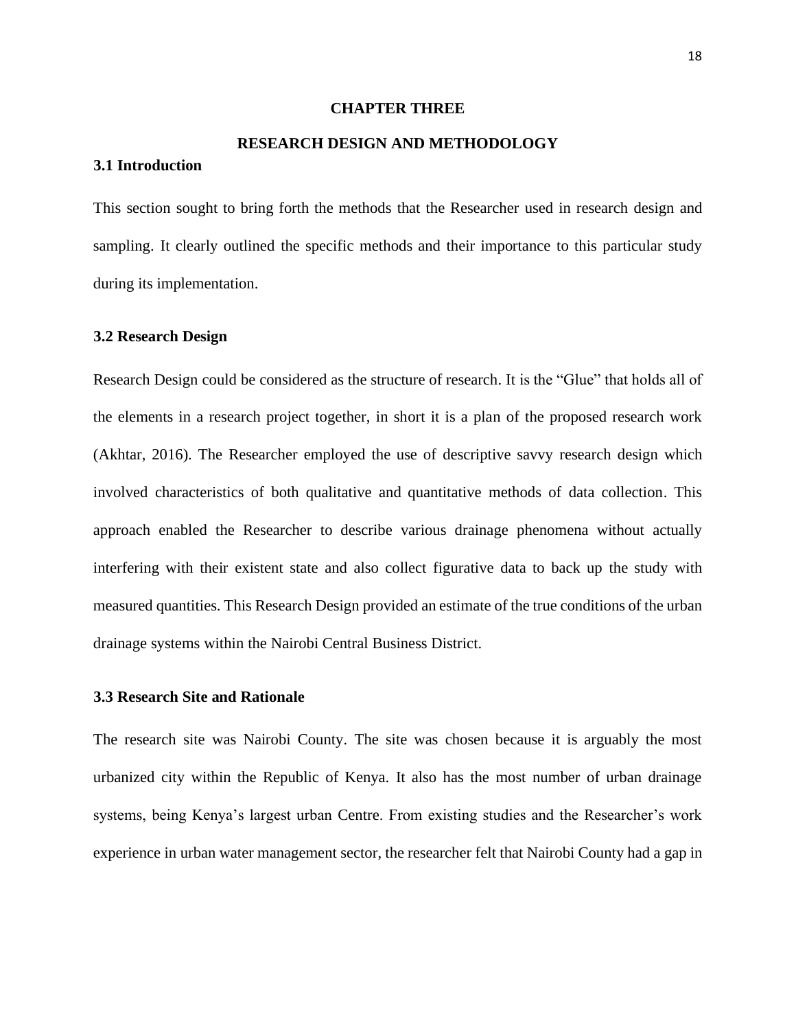#### **CHAPTER THREE**

# **RESEARCH DESIGN AND METHODOLOGY**

This section sought to bring forth the methods that the Researcher used in research design and sampling. It clearly outlined the specific methods and their importance to this particular study during its implementation.

#### <span id="page-29-3"></span>**3.2 Research Design**

<span id="page-29-2"></span><span id="page-29-1"></span><span id="page-29-0"></span>**3.1 Introduction**

Research Design could be considered as the structure of research. It is the "Glue" that holds all of the elements in a research project together, in short it is a plan of the proposed research work (Akhtar, 2016). The Researcher employed the use of descriptive savvy research design which involved characteristics of both qualitative and quantitative methods of data collection. This approach enabled the Researcher to describe various drainage phenomena without actually interfering with their existent state and also collect figurative data to back up the study with measured quantities. This Research Design provided an estimate of the true conditions of the urban drainage systems within the Nairobi Central Business District.

### <span id="page-29-4"></span>**3.3 Research Site and Rationale**

The research site was Nairobi County. The site was chosen because it is arguably the most urbanized city within the Republic of Kenya. It also has the most number of urban drainage systems, being Kenya's largest urban Centre. From existing studies and the Researcher's work experience in urban water management sector, the researcher felt that Nairobi County had a gap in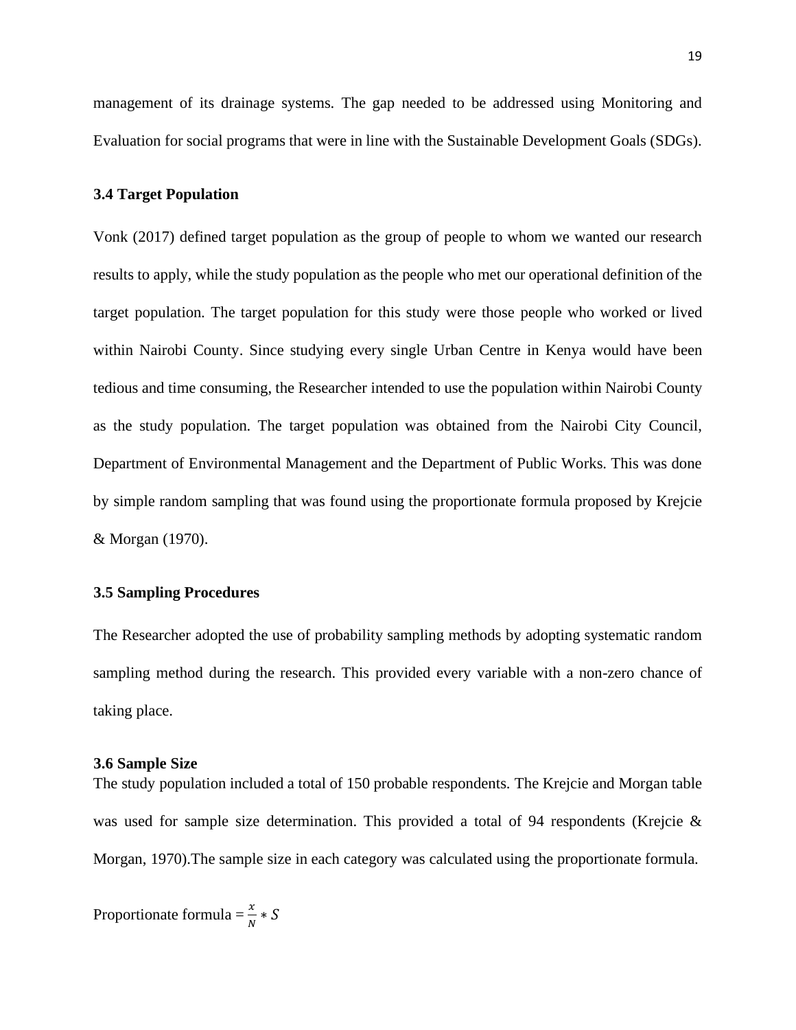management of its drainage systems. The gap needed to be addressed using Monitoring and Evaluation for social programs that were in line with the Sustainable Development Goals (SDGs).

#### <span id="page-30-0"></span>**3.4 Target Population**

Vonk (2017) defined target population as the group of people to whom we wanted our research results to apply, while the study population as the people who met our operational definition of the target population. The target population for this study were those people who worked or lived within Nairobi County. Since studying every single Urban Centre in Kenya would have been tedious and time consuming, the Researcher intended to use the population within Nairobi County as the study population. The target population was obtained from the Nairobi City Council, Department of Environmental Management and the Department of Public Works. This was done by simple random sampling that was found using the proportionate formula proposed by Krejcie & Morgan (1970).

#### <span id="page-30-1"></span>**3.5 Sampling Procedures**

The Researcher adopted the use of probability sampling methods by adopting systematic random sampling method during the research. This provided every variable with a non-zero chance of taking place.

#### <span id="page-30-2"></span>**3.6 Sample Size**

The study population included a total of 150 probable respondents. The Krejcie and Morgan table was used for sample size determination. This provided a total of 94 respondents (Krejcie & Morgan, 1970).The sample size in each category was calculated using the proportionate formula.

Proportionate formula =  $\frac{x}{N} * S$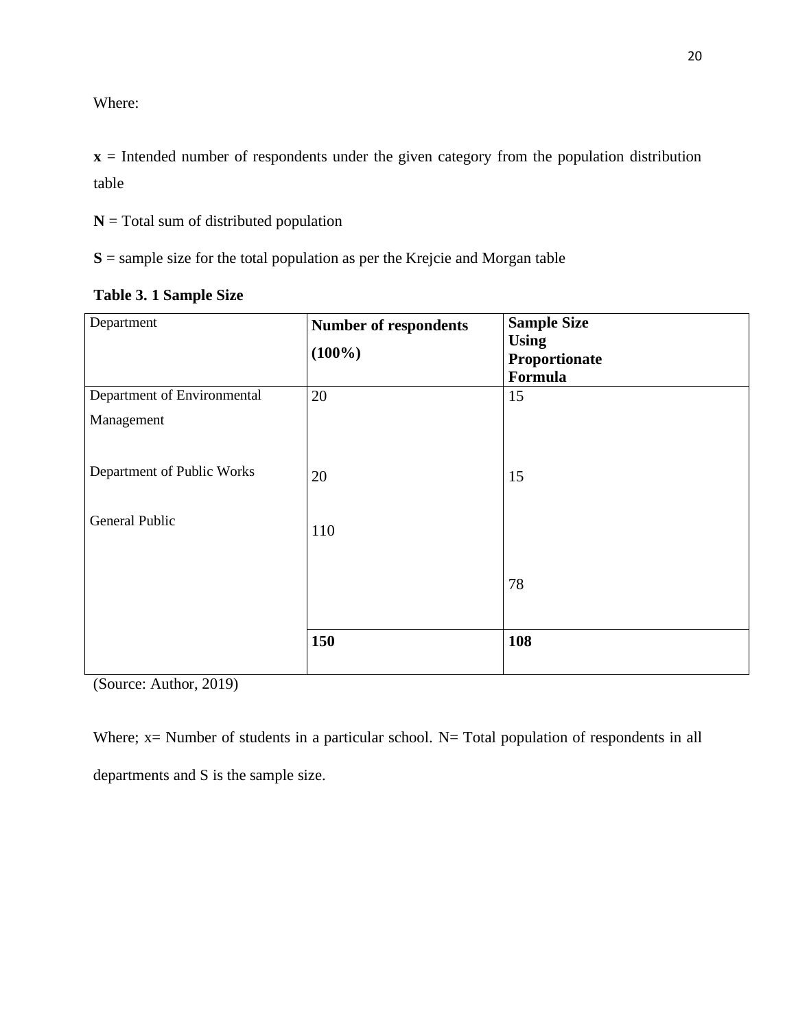Where:

**x** = Intended number of respondents under the given category from the population distribution table

**N** = Total sum of distributed population

**S** = sample size for the total population as per the Krejcie and Morgan table

| Department                  | Number of respondents | <b>Sample Size</b><br><b>Using</b> |
|-----------------------------|-----------------------|------------------------------------|
|                             | $(100\%)$             | Proportionate                      |
|                             |                       | Formula                            |
| Department of Environmental | 20                    | 15                                 |
| Management                  |                       |                                    |
|                             |                       |                                    |
| Department of Public Works  | 20                    | 15                                 |
|                             |                       |                                    |
| General Public              | 110                   |                                    |
|                             |                       |                                    |
|                             |                       |                                    |
|                             |                       | 78                                 |
|                             |                       |                                    |
|                             | 150                   | 108                                |
|                             |                       |                                    |

<span id="page-31-0"></span>

| Table 3. 1 Sample Size |  |  |  |
|------------------------|--|--|--|
|                        |  |  |  |

(Source: Author, 2019)

Where;  $x=$  Number of students in a particular school. N= Total population of respondents in all departments and S is the sample size.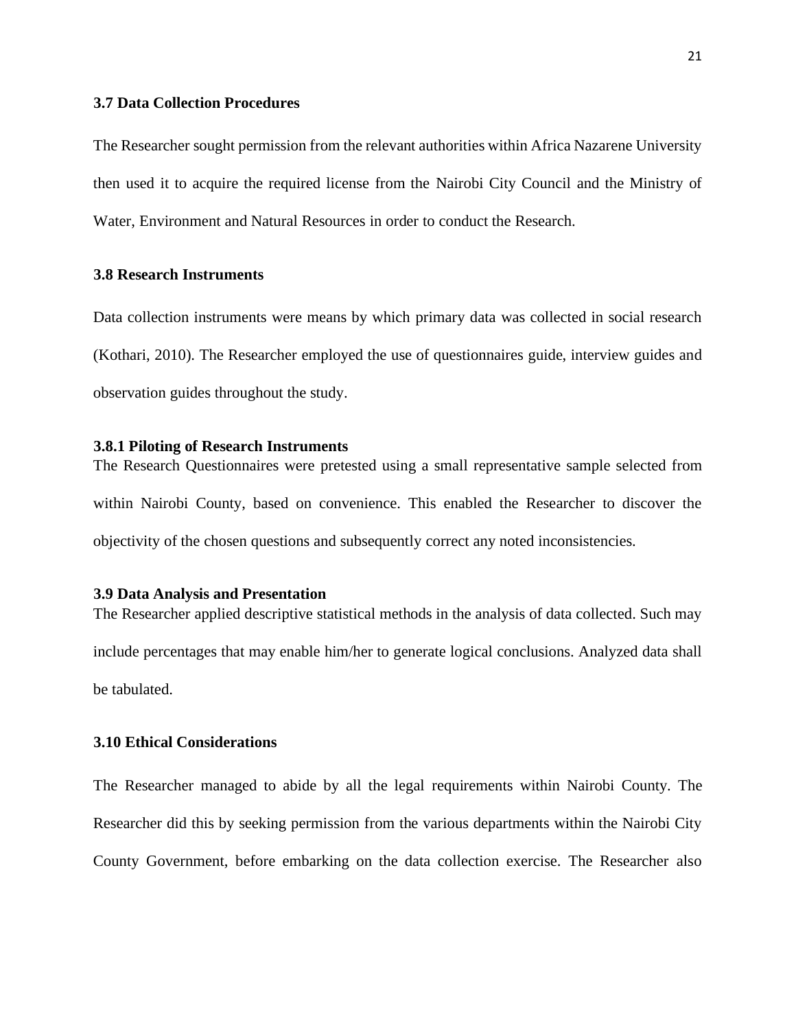#### <span id="page-32-0"></span>**3.7 Data Collection Procedures**

The Researcher sought permission from the relevant authorities within Africa Nazarene University then used it to acquire the required license from the Nairobi City Council and the Ministry of Water, Environment and Natural Resources in order to conduct the Research.

#### <span id="page-32-1"></span>**3.8 Research Instruments**

Data collection instruments were means by which primary data was collected in social research (Kothari, 2010). The Researcher employed the use of questionnaires guide, interview guides and observation guides throughout the study.

#### <span id="page-32-2"></span>**3.8.1 Piloting of Research Instruments**

The Research Questionnaires were pretested using a small representative sample selected from within Nairobi County, based on convenience. This enabled the Researcher to discover the objectivity of the chosen questions and subsequently correct any noted inconsistencies.

#### <span id="page-32-3"></span>**3.9 Data Analysis and Presentation**

The Researcher applied descriptive statistical methods in the analysis of data collected. Such may include percentages that may enable him/her to generate logical conclusions. Analyzed data shall be tabulated.

### <span id="page-32-4"></span>**3.10 Ethical Considerations**

The Researcher managed to abide by all the legal requirements within Nairobi County. The Researcher did this by seeking permission from the various departments within the Nairobi City County Government, before embarking on the data collection exercise. The Researcher also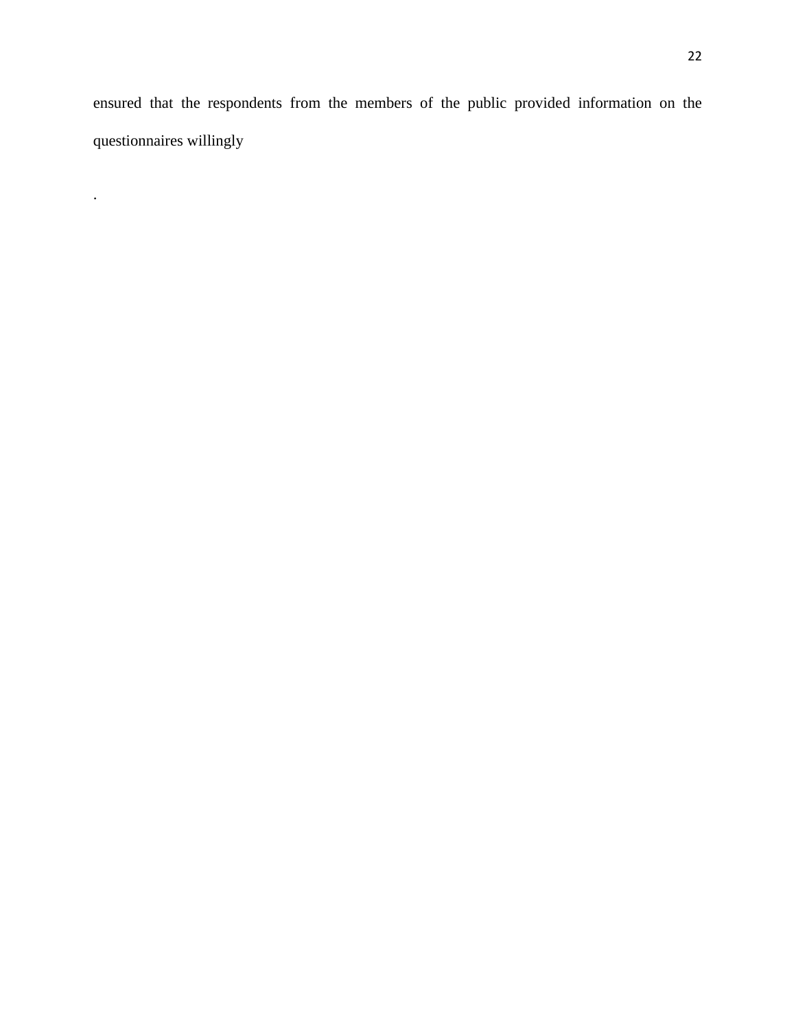ensured that the respondents from the members of the public provided information on the questionnaires willingly

.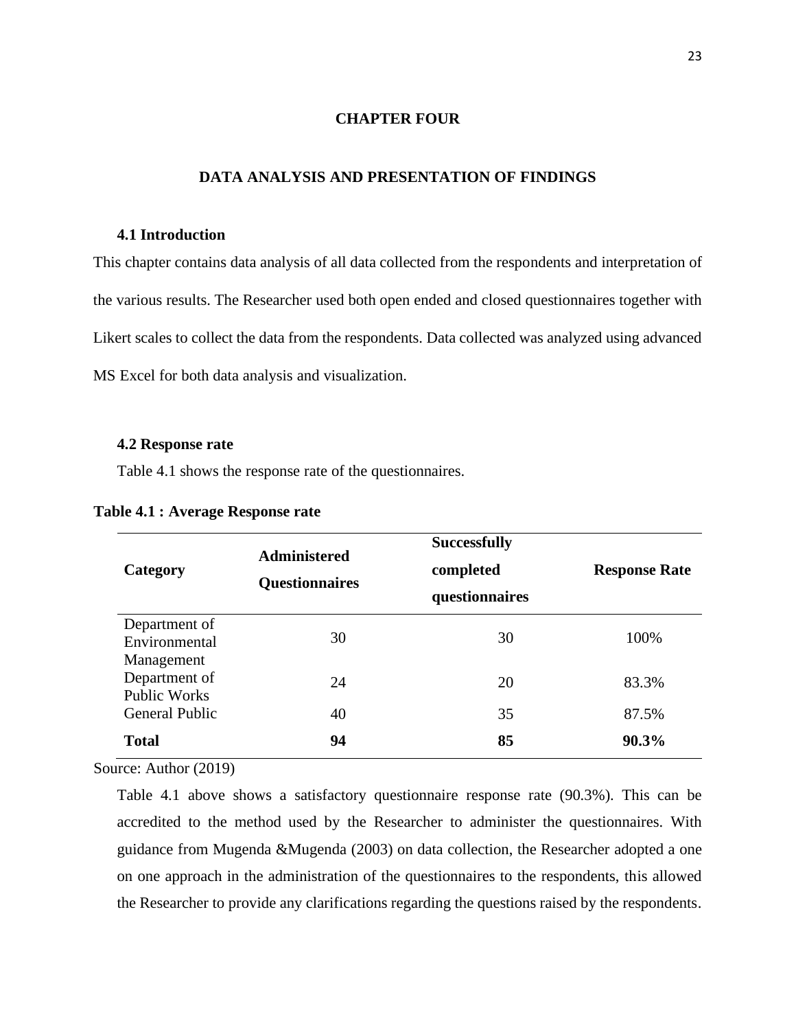#### **CHAPTER FOUR**

#### <span id="page-34-0"></span>**DATA ANALYSIS AND PRESENTATION OF FINDINGS**

#### <span id="page-34-2"></span><span id="page-34-1"></span>**4.1 Introduction**

This chapter contains data analysis of all data collected from the respondents and interpretation of the various results. The Researcher used both open ended and closed questionnaires together with Likert scales to collect the data from the respondents. Data collected was analyzed using advanced MS Excel for both data analysis and visualization.

#### <span id="page-34-3"></span>**4.2 Response rate**

Table 4.1 shows the response rate of the questionnaires.

| Category                                           | <b>Administered</b><br><b>Questionnaires</b> | <b>Successfully</b><br>completed<br>questionnaires | <b>Response Rate</b> |
|----------------------------------------------------|----------------------------------------------|----------------------------------------------------|----------------------|
| Department of<br>Environmental                     | 30                                           | 30                                                 | 100%                 |
| Management<br>Department of<br><b>Public Works</b> | 24                                           | 20                                                 | 83.3%                |
| <b>General Public</b>                              | 40                                           | 35                                                 | 87.5%                |
| <b>Total</b>                                       | 94                                           | 85                                                 | 90.3%                |

#### <span id="page-34-4"></span>**Table 4.1 : Average Response rate**

Source: Author (2019)

Table 4.1 above shows a satisfactory questionnaire response rate (90.3%). This can be accredited to the method used by the Researcher to administer the questionnaires. With guidance from Mugenda &Mugenda (2003) on data collection, the Researcher adopted a one on one approach in the administration of the questionnaires to the respondents, this allowed the Researcher to provide any clarifications regarding the questions raised by the respondents.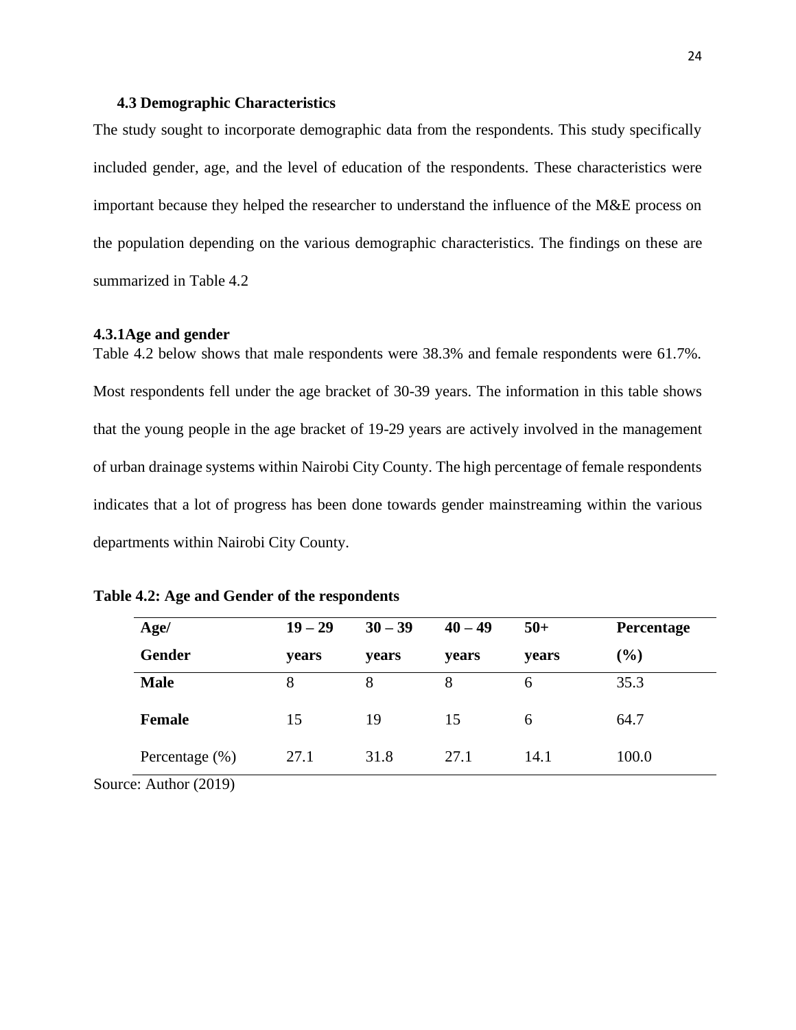#### <span id="page-35-0"></span>**4.3 Demographic Characteristics**

The study sought to incorporate demographic data from the respondents. This study specifically included gender, age, and the level of education of the respondents. These characteristics were important because they helped the researcher to understand the influence of the M&E process on the population depending on the various demographic characteristics. The findings on these are summarized in Table 4.2

#### <span id="page-35-1"></span>**4.3.1Age and gender**

Table 4.2 below shows that male respondents were 38.3% and female respondents were 61.7%. Most respondents fell under the age bracket of 30-39 years. The information in this table shows that the young people in the age bracket of 19-29 years are actively involved in the management of urban drainage systems within Nairobi City County. The high percentage of female respondents indicates that a lot of progress has been done towards gender mainstreaming within the various departments within Nairobi City County.

| Age/ |                       | $19 - 29$ | $30 - 39$ | $40 - 49$    | $50+$ | Percentage |
|------|-----------------------|-----------|-----------|--------------|-------|------------|
|      | <b>Gender</b>         | vears     | years     | <b>vears</b> | years | (%)        |
|      | <b>Male</b>           | 8         | 8         | 8            | 6     | 35.3       |
|      | <b>Female</b>         | 15        | 19        | 15           | 6     | 64.7       |
|      | Percentage $(\% )$    | 27.1      | 31.8      | 27.1         | 14.1  | 100.0      |
|      | Source: Author (2019) |           |           |              |       |            |

<span id="page-35-2"></span>

|  |  | Table 4.2: Age and Gender of the respondents |  |  |  |
|--|--|----------------------------------------------|--|--|--|
|  |  |                                              |  |  |  |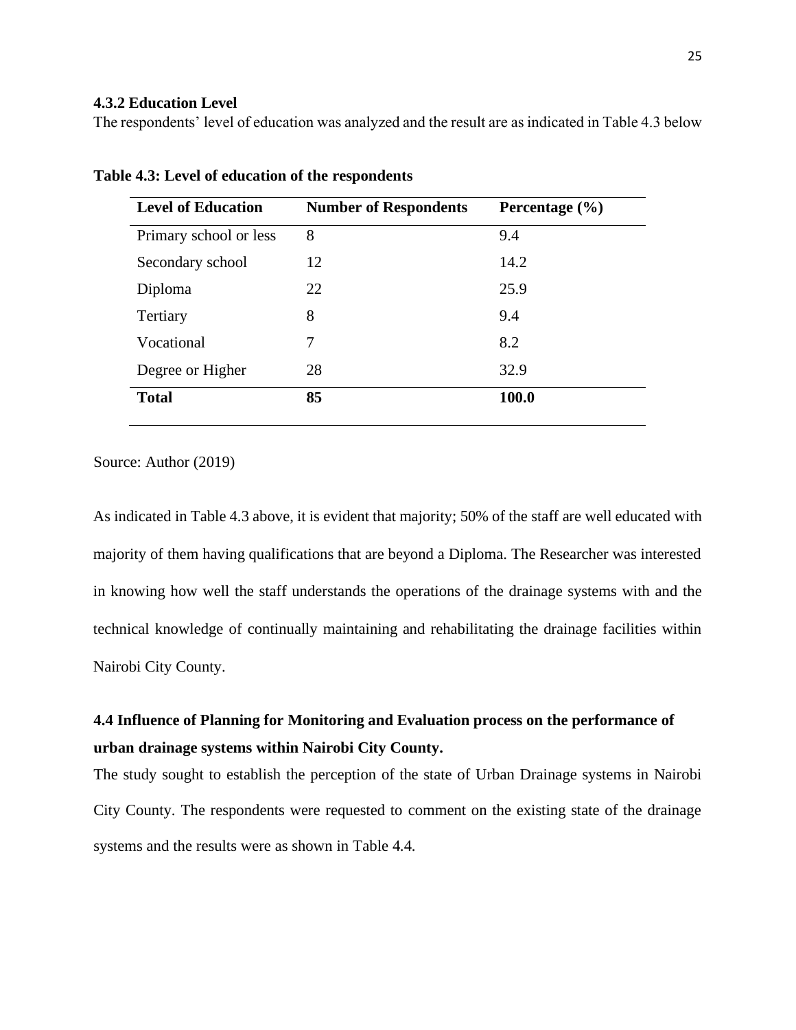### <span id="page-36-0"></span>**4.3.2 Education Level**

The respondents' level of education was analyzed and the result are as indicated in Table 4.3 below

| <b>Number of Respondents</b> | Percentage $(\% )$ |
|------------------------------|--------------------|
| 8                            | 9.4                |
| 12                           | 14.2               |
| 22                           | 25.9               |
| 8                            | 9.4                |
| 7                            | 8.2                |
| 28                           | 32.9               |
| 85                           | 100.0              |
|                              |                    |

<span id="page-36-2"></span>**Table 4.3: Level of education of the respondents**

Source: Author (2019)

As indicated in Table 4.3 above, it is evident that majority; 50% of the staff are well educated with majority of them having qualifications that are beyond a Diploma. The Researcher was interested in knowing how well the staff understands the operations of the drainage systems with and the technical knowledge of continually maintaining and rehabilitating the drainage facilities within Nairobi City County.

# <span id="page-36-1"></span>**4.4 Influence of Planning for Monitoring and Evaluation process on the performance of urban drainage systems within Nairobi City County.**

The study sought to establish the perception of the state of Urban Drainage systems in Nairobi City County. The respondents were requested to comment on the existing state of the drainage systems and the results were as shown in Table 4.4.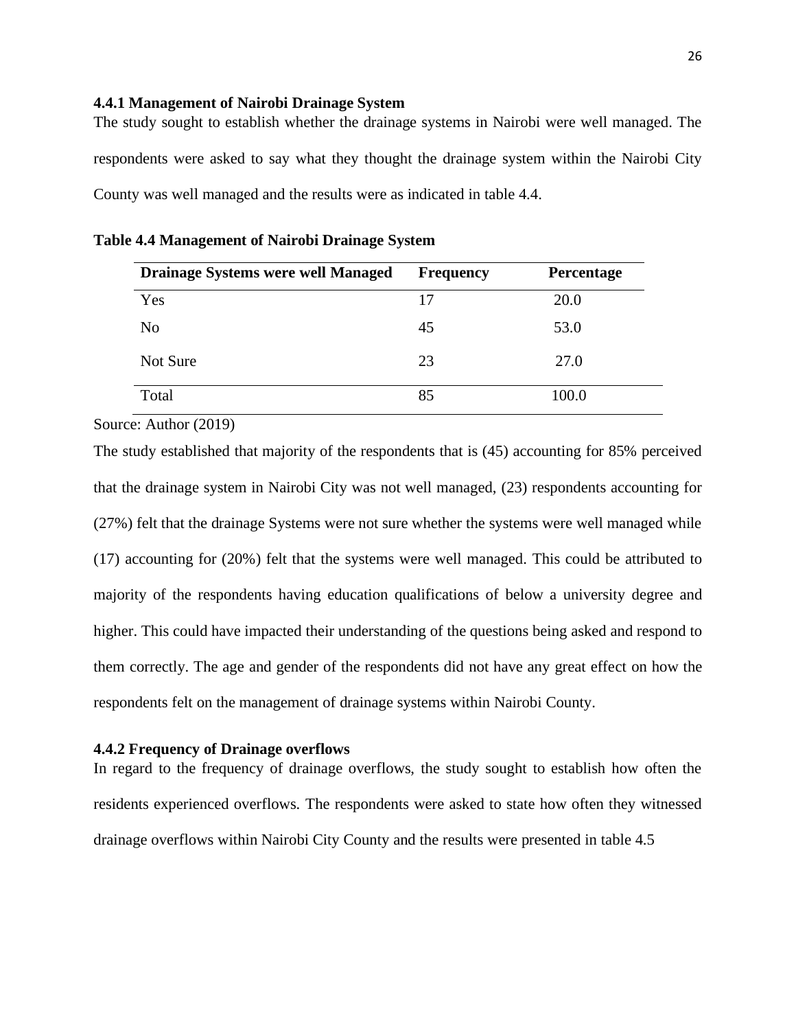#### <span id="page-37-0"></span>**4.4.1 Management of Nairobi Drainage System**

The study sought to establish whether the drainage systems in Nairobi were well managed. The respondents were asked to say what they thought the drainage system within the Nairobi City County was well managed and the results were as indicated in table 4.4.

| <b>Drainage Systems were well Managed</b> | <b>Frequency</b> | Percentage |
|-------------------------------------------|------------------|------------|
| Yes                                       | 17               | 20.0       |
| No                                        | 45               | 53.0       |
| Not Sure                                  | 23               | 27.0       |
| Total                                     | 85               | 100.0      |

|  | Table 4.4 Management of Nairobi Drainage System |  |  |  |  |
|--|-------------------------------------------------|--|--|--|--|
|  |                                                 |  |  |  |  |

Source: Author (2019)

The study established that majority of the respondents that is (45) accounting for 85% perceived that the drainage system in Nairobi City was not well managed, (23) respondents accounting for (27%) felt that the drainage Systems were not sure whether the systems were well managed while (17) accounting for (20%) felt that the systems were well managed. This could be attributed to majority of the respondents having education qualifications of below a university degree and higher. This could have impacted their understanding of the questions being asked and respond to them correctly. The age and gender of the respondents did not have any great effect on how the respondents felt on the management of drainage systems within Nairobi County.

#### <span id="page-37-1"></span>**4.4.2 Frequency of Drainage overflows**

In regard to the frequency of drainage overflows, the study sought to establish how often the residents experienced overflows. The respondents were asked to state how often they witnessed drainage overflows within Nairobi City County and the results were presented in table 4.5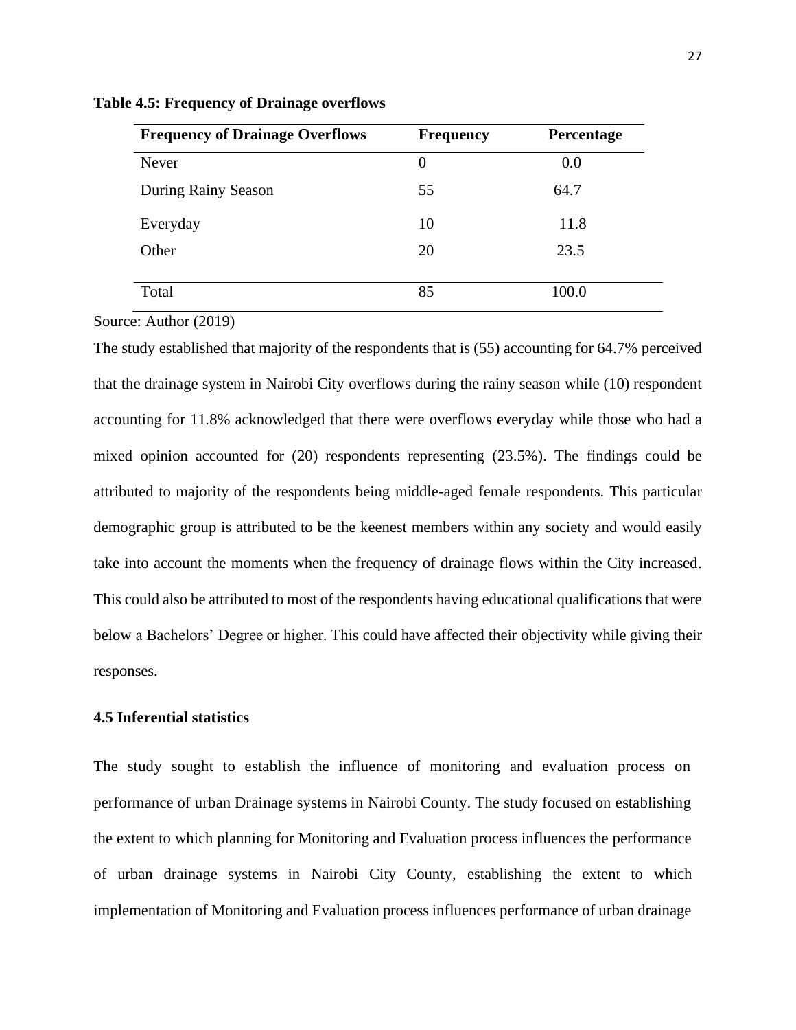| <b>Frequency of Drainage Overflows</b> | <b>Frequency</b> | Percentage |
|----------------------------------------|------------------|------------|
| Never                                  | $\theta$         | 0.0        |
| During Rainy Season                    | 55               | 64.7       |
| Everyday                               | 10               | 11.8       |
| Other                                  | 20               | 23.5       |
| Total                                  | 85               | 100.0      |

**Table 4.5: Frequency of Drainage overflows**

Source: Author (2019)

The study established that majority of the respondents that is (55) accounting for 64.7% perceived that the drainage system in Nairobi City overflows during the rainy season while (10) respondent accounting for 11.8% acknowledged that there were overflows everyday while those who had a mixed opinion accounted for (20) respondents representing (23.5%). The findings could be attributed to majority of the respondents being middle-aged female respondents. This particular demographic group is attributed to be the keenest members within any society and would easily take into account the moments when the frequency of drainage flows within the City increased. This could also be attributed to most of the respondents having educational qualifications that were below a Bachelors' Degree or higher. This could have affected their objectivity while giving their responses.

#### <span id="page-38-0"></span>**4.5 Inferential statistics**

The study sought to establish the influence of monitoring and evaluation process on performance of urban Drainage systems in Nairobi County. The study focused on establishing the extent to which planning for Monitoring and Evaluation process influences the performance of urban drainage systems in Nairobi City County, establishing the extent to which implementation of Monitoring and Evaluation process influences performance of urban drainage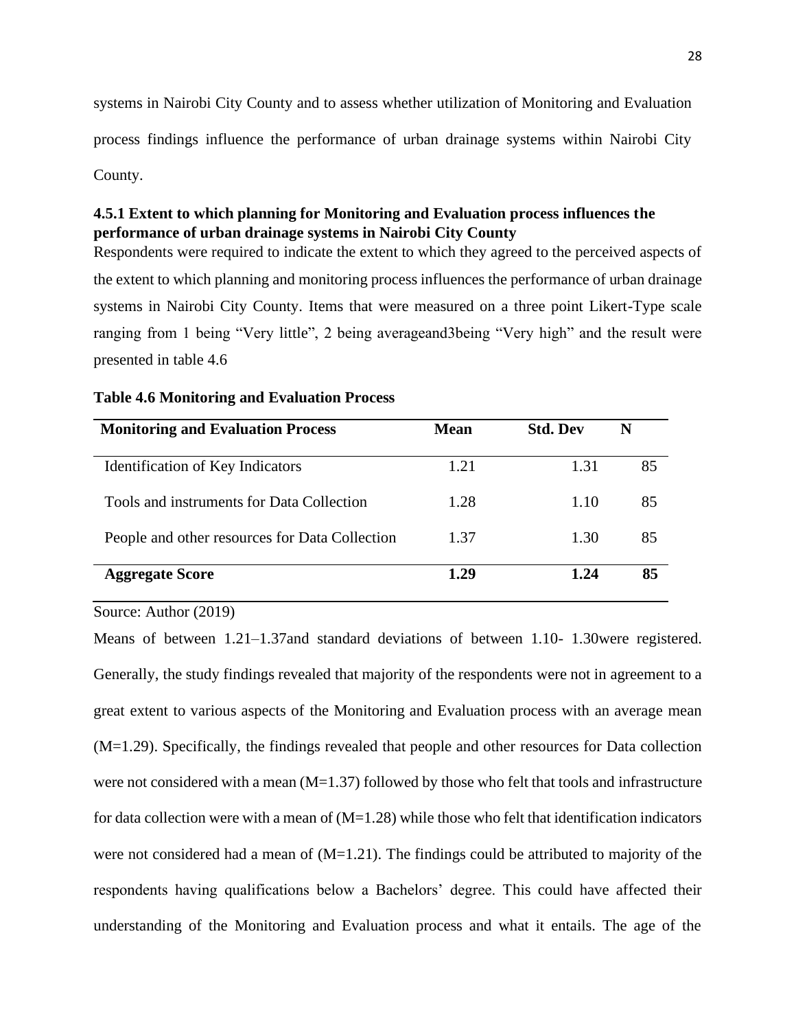systems in Nairobi City County and to assess whether utilization of Monitoring and Evaluation process findings influence the performance of urban drainage systems within Nairobi City County.

## <span id="page-39-0"></span>**4.5.1 Extent to which planning for Monitoring and Evaluation process influences the performance of urban drainage systems in Nairobi City County**

Respondents were required to indicate the extent to which they agreed to the perceived aspects of the extent to which planning and monitoring process influences the performance of urban drainage systems in Nairobi City County. Items that were measured on a three point Likert-Type scale ranging from 1 being "Very little", 2 being averageand3being "Very high" and the result were presented in table 4.6

| <b>Monitoring and Evaluation Process</b>       | Mean | <b>Std. Dev</b> | N  |
|------------------------------------------------|------|-----------------|----|
| Identification of Key Indicators               | 1.21 | 1.31            | 85 |
| Tools and instruments for Data Collection      | 1.28 | 1.10            | 85 |
| People and other resources for Data Collection | 1.37 | 1.30            | 85 |
| <b>Aggregate Score</b>                         | 1.29 | 1.24            | 85 |

#### **Table 4.6 Monitoring and Evaluation Process**

Source: Author (2019)

Means of between 1.21–1.37and standard deviations of between 1.10- 1.30were registered. Generally, the study findings revealed that majority of the respondents were not in agreement to a great extent to various aspects of the Monitoring and Evaluation process with an average mean (M=1.29). Specifically, the findings revealed that people and other resources for Data collection were not considered with a mean  $(M=1.37)$  followed by those who felt that tools and infrastructure for data collection were with a mean of  $(M=1.28)$  while those who felt that identification indicators were not considered had a mean of  $(M=1.21)$ . The findings could be attributed to majority of the respondents having qualifications below a Bachelors' degree. This could have affected their understanding of the Monitoring and Evaluation process and what it entails. The age of the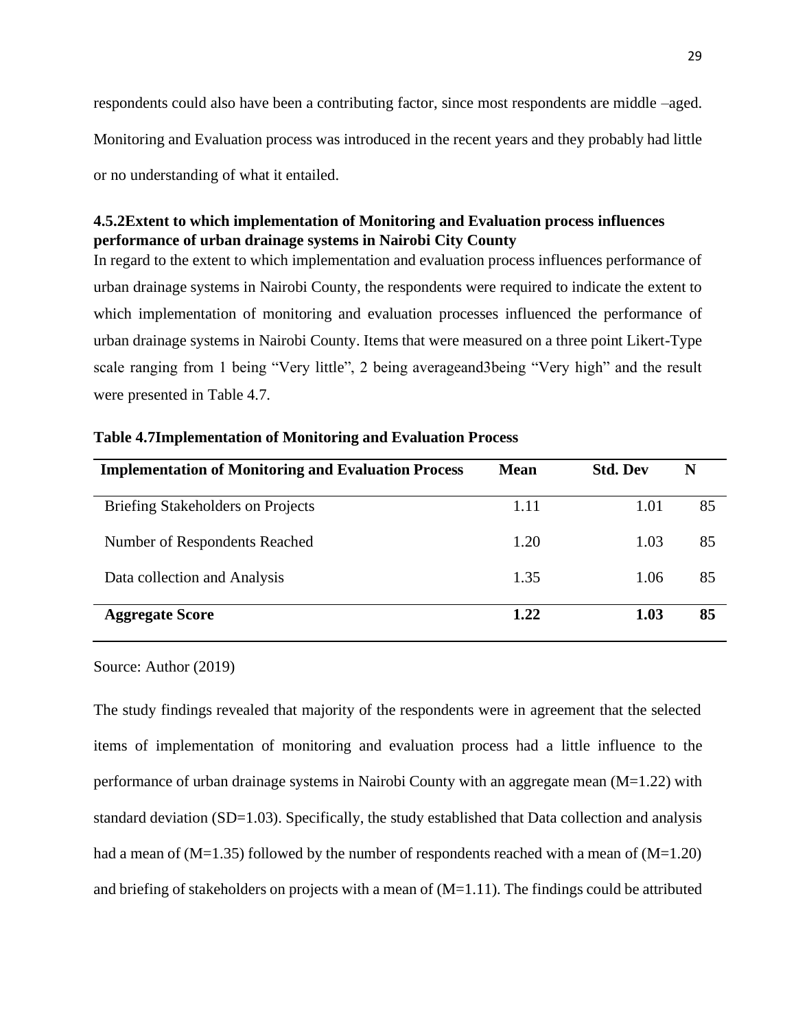respondents could also have been a contributing factor, since most respondents are middle –aged. Monitoring and Evaluation process was introduced in the recent years and they probably had little or no understanding of what it entailed.

## <span id="page-40-0"></span>**4.5.2Extent to which implementation of Monitoring and Evaluation process influences performance of urban drainage systems in Nairobi City County**

In regard to the extent to which implementation and evaluation process influences performance of urban drainage systems in Nairobi County, the respondents were required to indicate the extent to which implementation of monitoring and evaluation processes influenced the performance of urban drainage systems in Nairobi County. Items that were measured on a three point Likert-Type scale ranging from 1 being "Very little", 2 being averageand3being "Very high" and the result were presented in Table 4.7.

| <b>Implementation of Monitoring and Evaluation Process</b> | <b>Mean</b> | <b>Std. Dev</b> | N  |
|------------------------------------------------------------|-------------|-----------------|----|
| <b>Briefing Stakeholders on Projects</b>                   | 1.11        | 1.01            | 85 |
| Number of Respondents Reached                              | 1.20        | 1.03            | 85 |
| Data collection and Analysis                               | 1.35        | 1.06            | 85 |
| <b>Aggregate Score</b>                                     | 1.22        | 1.03            | 85 |

| <b>Table 4.7Implementation of Monitoring and Evaluation Process</b> |
|---------------------------------------------------------------------|
|---------------------------------------------------------------------|

Source: Author (2019)

The study findings revealed that majority of the respondents were in agreement that the selected items of implementation of monitoring and evaluation process had a little influence to the performance of urban drainage systems in Nairobi County with an aggregate mean (M=1.22) with standard deviation (SD=1.03). Specifically, the study established that Data collection and analysis had a mean of  $(M=1.35)$  followed by the number of respondents reached with a mean of  $(M=1.20)$ and briefing of stakeholders on projects with a mean of  $(M=1.11)$ . The findings could be attributed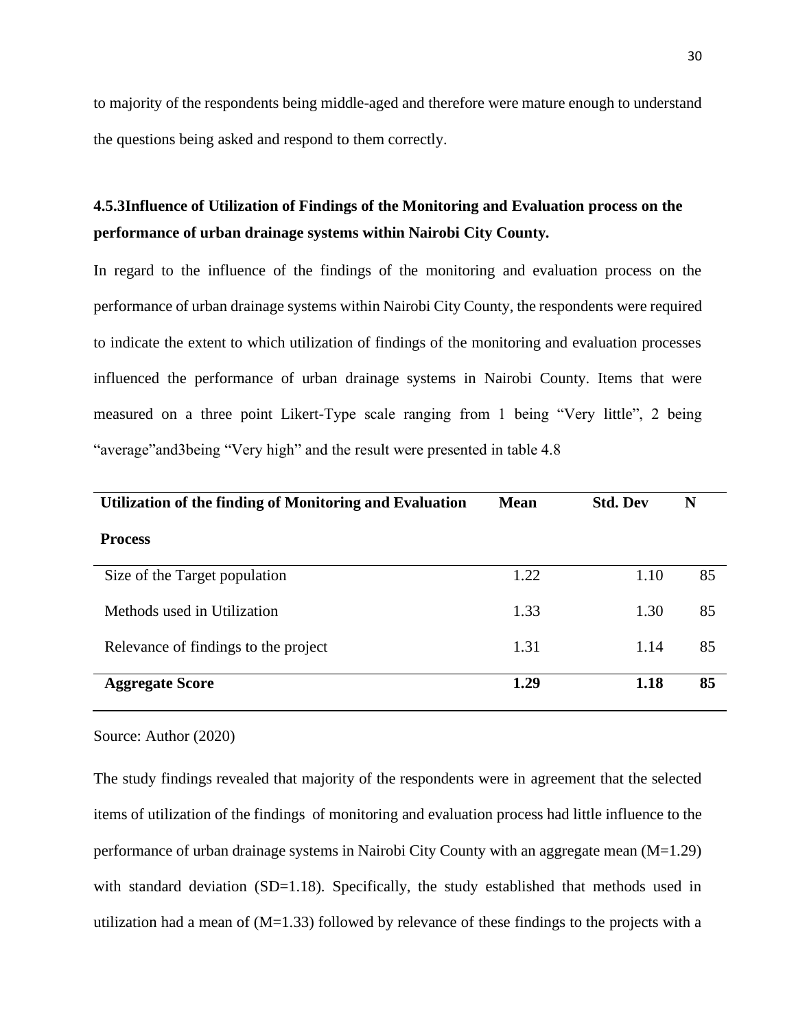to majority of the respondents being middle-aged and therefore were mature enough to understand the questions being asked and respond to them correctly.

# <span id="page-41-0"></span>**4.5.3Influence of Utilization of Findings of the Monitoring and Evaluation process on the performance of urban drainage systems within Nairobi City County.**

In regard to the influence of the findings of the monitoring and evaluation process on the performance of urban drainage systems within Nairobi City County, the respondents were required to indicate the extent to which utilization of findings of the monitoring and evaluation processes influenced the performance of urban drainage systems in Nairobi County. Items that were measured on a three point Likert-Type scale ranging from 1 being "Very little", 2 being "average"and3being "Very high" and the result were presented in table 4.8

| <b>Utilization of the finding of Monitoring and Evaluation</b> | <b>Mean</b> | <b>Std. Dev</b> | N  |
|----------------------------------------------------------------|-------------|-----------------|----|
| <b>Process</b>                                                 |             |                 |    |
| Size of the Target population                                  | 1.22        | 1.10            | 85 |
| Methods used in Utilization                                    | 1.33        | 1.30            | 85 |
| Relevance of findings to the project                           | 1.31        | 1.14            | 85 |
| <b>Aggregate Score</b>                                         | 1.29        | 1.18            | 85 |

Source: Author (2020)

The study findings revealed that majority of the respondents were in agreement that the selected items of utilization of the findings of monitoring and evaluation process had little influence to the performance of urban drainage systems in Nairobi City County with an aggregate mean (M=1.29) with standard deviation (SD=1.18). Specifically, the study established that methods used in utilization had a mean of  $(M=1.33)$  followed by relevance of these findings to the projects with a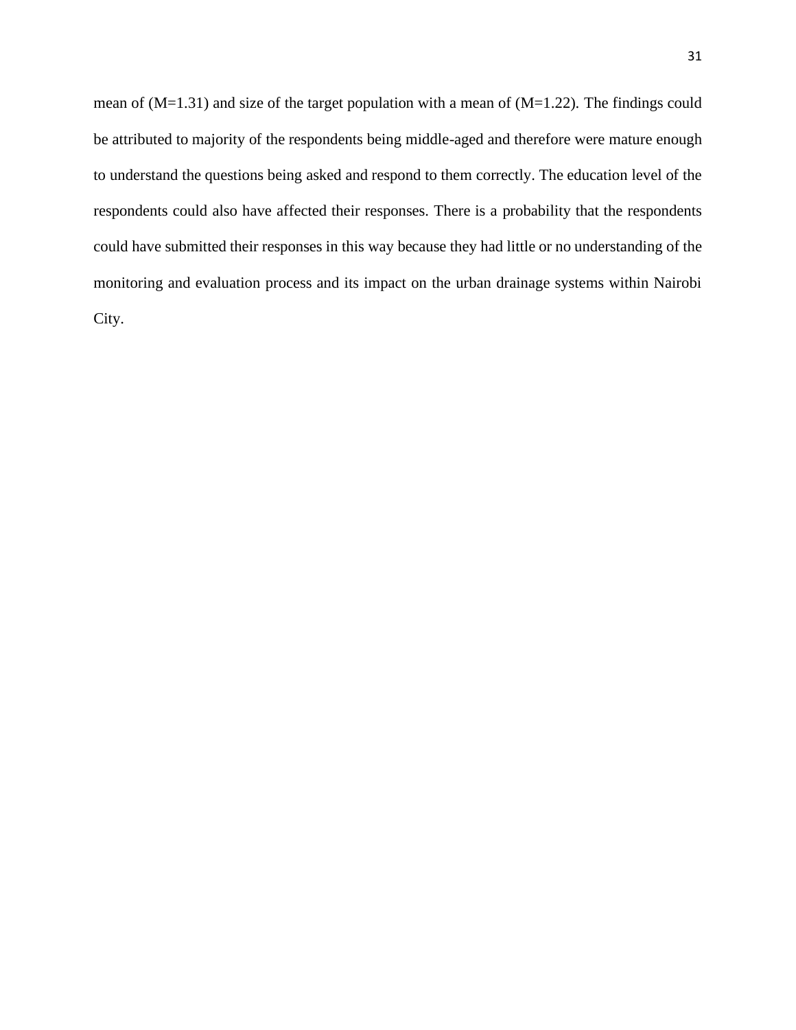mean of (M=1.31) and size of the target population with a mean of (M=1.22). The findings could be attributed to majority of the respondents being middle-aged and therefore were mature enough to understand the questions being asked and respond to them correctly. The education level of the respondents could also have affected their responses. There is a probability that the respondents could have submitted their responses in this way because they had little or no understanding of the monitoring and evaluation process and its impact on the urban drainage systems within Nairobi City.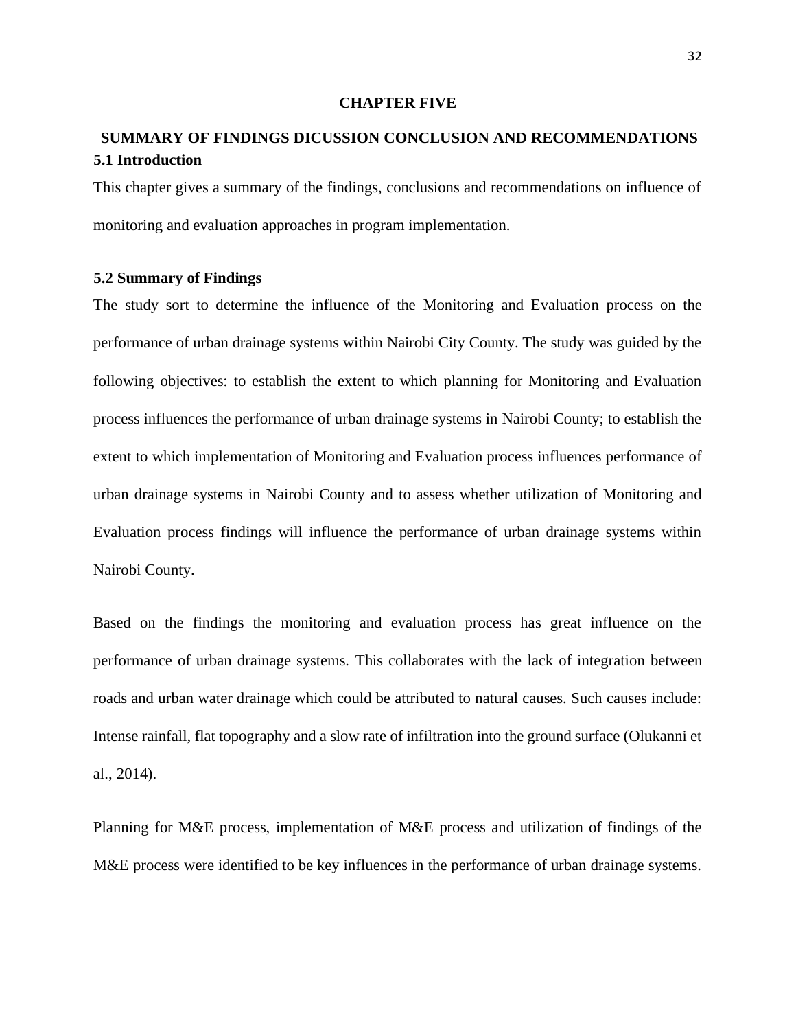#### **CHAPTER FIVE**

# <span id="page-43-2"></span><span id="page-43-1"></span><span id="page-43-0"></span>**SUMMARY OF FINDINGS DICUSSION CONCLUSION AND RECOMMENDATIONS 5.1 Introduction**

This chapter gives a summary of the findings, conclusions and recommendations on influence of monitoring and evaluation approaches in program implementation.

#### <span id="page-43-3"></span>**5.2 Summary of Findings**

The study sort to determine the influence of the Monitoring and Evaluation process on the performance of urban drainage systems within Nairobi City County. The study was guided by the following objectives: to establish the extent to which planning for Monitoring and Evaluation process influences the performance of urban drainage systems in Nairobi County; to establish the extent to which implementation of Monitoring and Evaluation process influences performance of urban drainage systems in Nairobi County and to assess whether utilization of Monitoring and Evaluation process findings will influence the performance of urban drainage systems within Nairobi County.

Based on the findings the monitoring and evaluation process has great influence on the performance of urban drainage systems. This collaborates with the lack of integration between roads and urban water drainage which could be attributed to natural causes. Such causes include: Intense rainfall, flat topography and a slow rate of infiltration into the ground surface (Olukanni et al., 2014).

Planning for M&E process, implementation of M&E process and utilization of findings of the M&E process were identified to be key influences in the performance of urban drainage systems.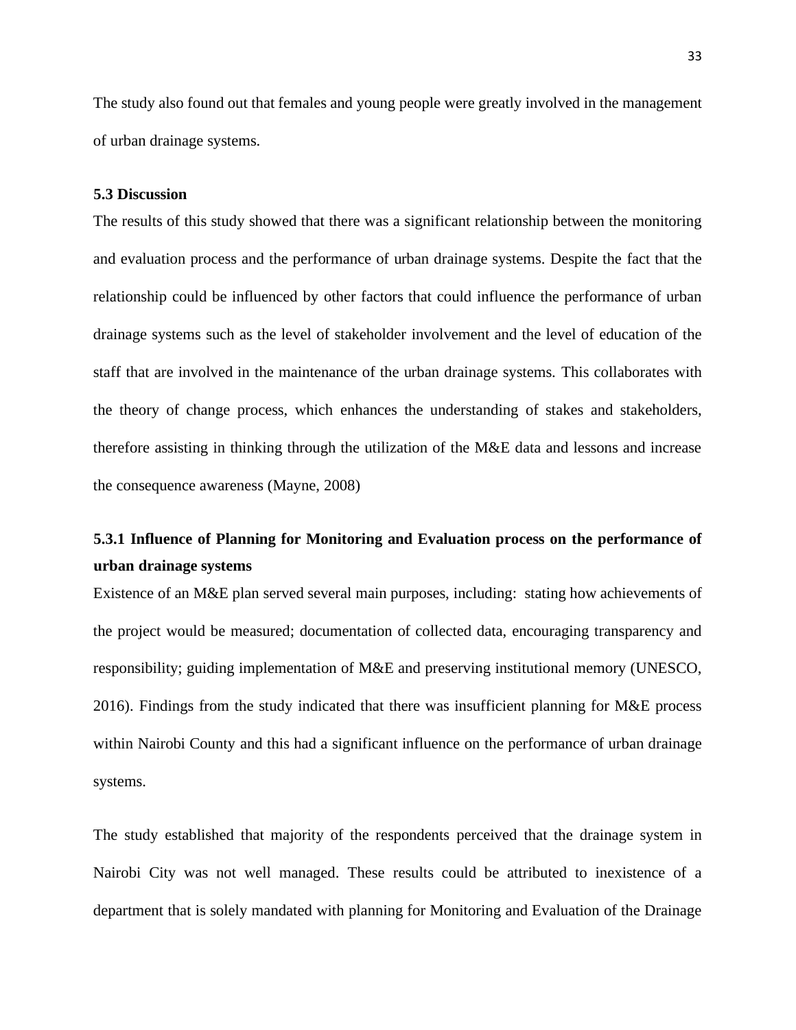The study also found out that females and young people were greatly involved in the management of urban drainage systems.

#### <span id="page-44-0"></span>**5.3 Discussion**

The results of this study showed that there was a significant relationship between the monitoring and evaluation process and the performance of urban drainage systems. Despite the fact that the relationship could be influenced by other factors that could influence the performance of urban drainage systems such as the level of stakeholder involvement and the level of education of the staff that are involved in the maintenance of the urban drainage systems. This collaborates with the theory of change process, which enhances the understanding of stakes and stakeholders, therefore assisting in thinking through the utilization of the M&E data and lessons and increase the consequence awareness (Mayne, 2008)

# <span id="page-44-1"></span>**5.3.1 Influence of Planning for Monitoring and Evaluation process on the performance of urban drainage systems**

Existence of an M&E plan served several main purposes, including: stating how achievements of the project would be measured; documentation of collected data, encouraging transparency and responsibility; guiding implementation of M&E and preserving institutional memory (UNESCO, 2016). Findings from the study indicated that there was insufficient planning for M&E process within Nairobi County and this had a significant influence on the performance of urban drainage systems.

The study established that majority of the respondents perceived that the drainage system in Nairobi City was not well managed. These results could be attributed to inexistence of a department that is solely mandated with planning for Monitoring and Evaluation of the Drainage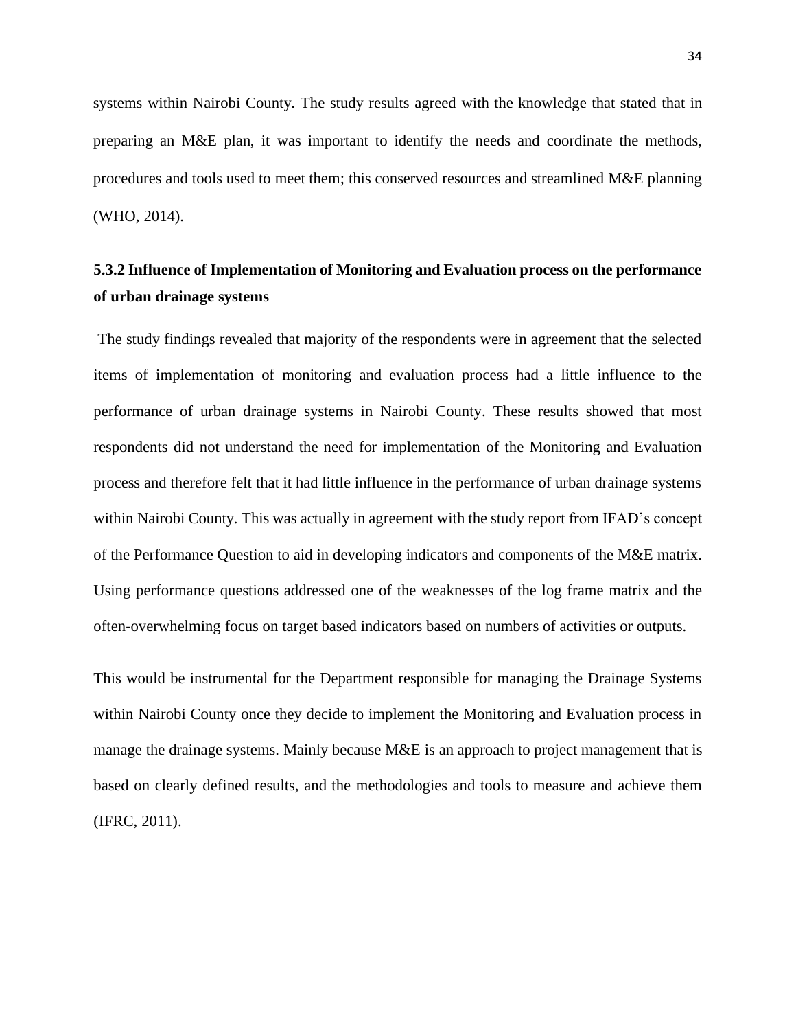systems within Nairobi County. The study results agreed with the knowledge that stated that in preparing an M&E plan, it was important to identify the needs and coordinate the methods, procedures and tools used to meet them; this conserved resources and streamlined M&E planning (WHO, 2014).

# <span id="page-45-0"></span>**5.3.2 Influence of Implementation of Monitoring and Evaluation process on the performance of urban drainage systems**

The study findings revealed that majority of the respondents were in agreement that the selected items of implementation of monitoring and evaluation process had a little influence to the performance of urban drainage systems in Nairobi County. These results showed that most respondents did not understand the need for implementation of the Monitoring and Evaluation process and therefore felt that it had little influence in the performance of urban drainage systems within Nairobi County. This was actually in agreement with the study report from IFAD's concept of the Performance Question to aid in developing indicators and components of the M&E matrix. Using performance questions addressed one of the weaknesses of the log frame matrix and the often-overwhelming focus on target based indicators based on numbers of activities or outputs.

This would be instrumental for the Department responsible for managing the Drainage Systems within Nairobi County once they decide to implement the Monitoring and Evaluation process in manage the drainage systems. Mainly because M&E is an approach to project management that is based on clearly defined results, and the methodologies and tools to measure and achieve them (IFRC, 2011).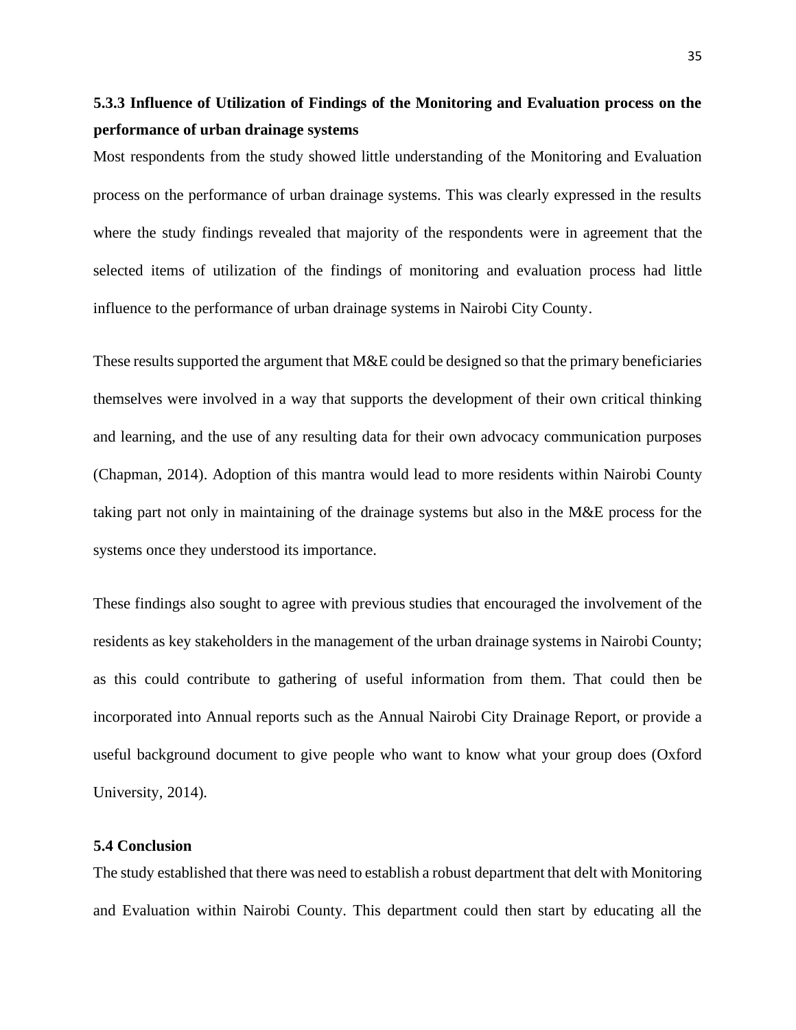# <span id="page-46-0"></span>**5.3.3 Influence of Utilization of Findings of the Monitoring and Evaluation process on the performance of urban drainage systems**

Most respondents from the study showed little understanding of the Monitoring and Evaluation process on the performance of urban drainage systems. This was clearly expressed in the results where the study findings revealed that majority of the respondents were in agreement that the selected items of utilization of the findings of monitoring and evaluation process had little influence to the performance of urban drainage systems in Nairobi City County.

These results supported the argument that M&E could be designed so that the primary beneficiaries themselves were involved in a way that supports the development of their own critical thinking and learning, and the use of any resulting data for their own advocacy communication purposes (Chapman, 2014). Adoption of this mantra would lead to more residents within Nairobi County taking part not only in maintaining of the drainage systems but also in the M&E process for the systems once they understood its importance.

These findings also sought to agree with previous studies that encouraged the involvement of the residents as key stakeholders in the management of the urban drainage systems in Nairobi County; as this could contribute to gathering of useful information from them. That could then be incorporated into Annual reports such as the Annual Nairobi City Drainage Report, or provide a useful background document to give people who want to know what your group does (Oxford University, 2014).

#### <span id="page-46-1"></span>**5.4 Conclusion**

The study established that there was need to establish a robust department that delt with Monitoring and Evaluation within Nairobi County. This department could then start by educating all the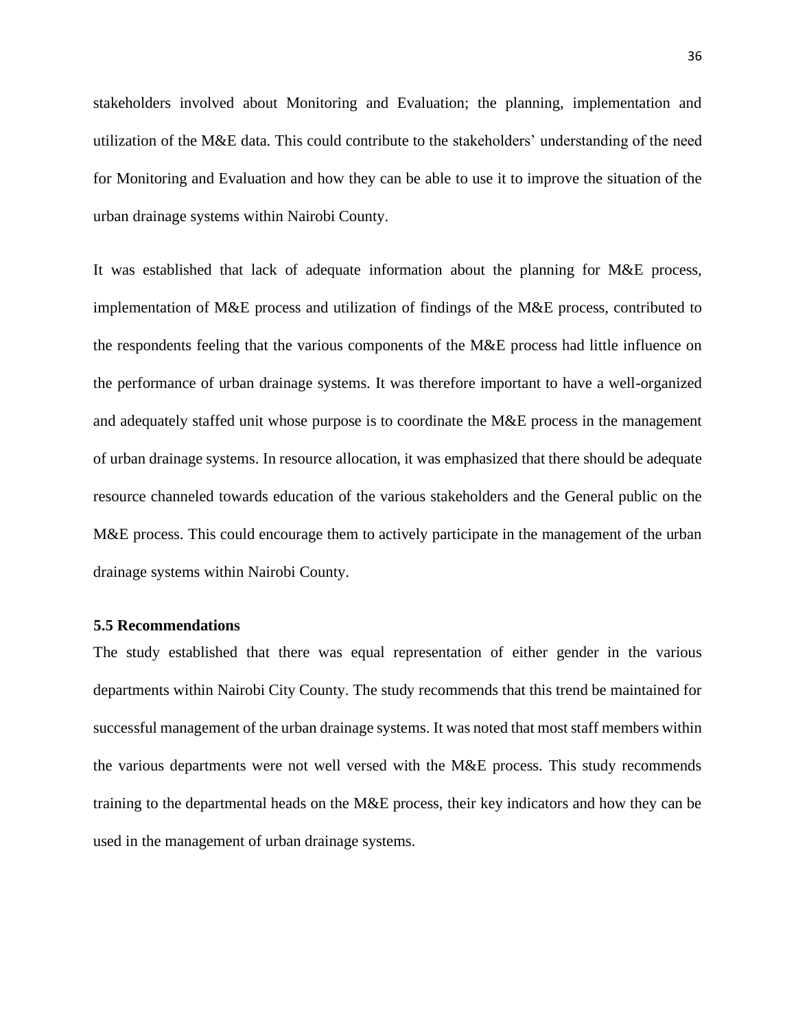stakeholders involved about Monitoring and Evaluation; the planning, implementation and utilization of the M&E data. This could contribute to the stakeholders' understanding of the need for Monitoring and Evaluation and how they can be able to use it to improve the situation of the urban drainage systems within Nairobi County.

It was established that lack of adequate information about the planning for M&E process, implementation of M&E process and utilization of findings of the M&E process, contributed to the respondents feeling that the various components of the M&E process had little influence on the performance of urban drainage systems. It was therefore important to have a well-organized and adequately staffed unit whose purpose is to coordinate the M&E process in the management of urban drainage systems. In resource allocation, it was emphasized that there should be adequate resource channeled towards education of the various stakeholders and the General public on the M&E process. This could encourage them to actively participate in the management of the urban drainage systems within Nairobi County.

#### <span id="page-47-0"></span>**5.5 Recommendations**

The study established that there was equal representation of either gender in the various departments within Nairobi City County. The study recommends that this trend be maintained for successful management of the urban drainage systems. It was noted that most staff members within the various departments were not well versed with the M&E process. This study recommends training to the departmental heads on the M&E process, their key indicators and how they can be used in the management of urban drainage systems.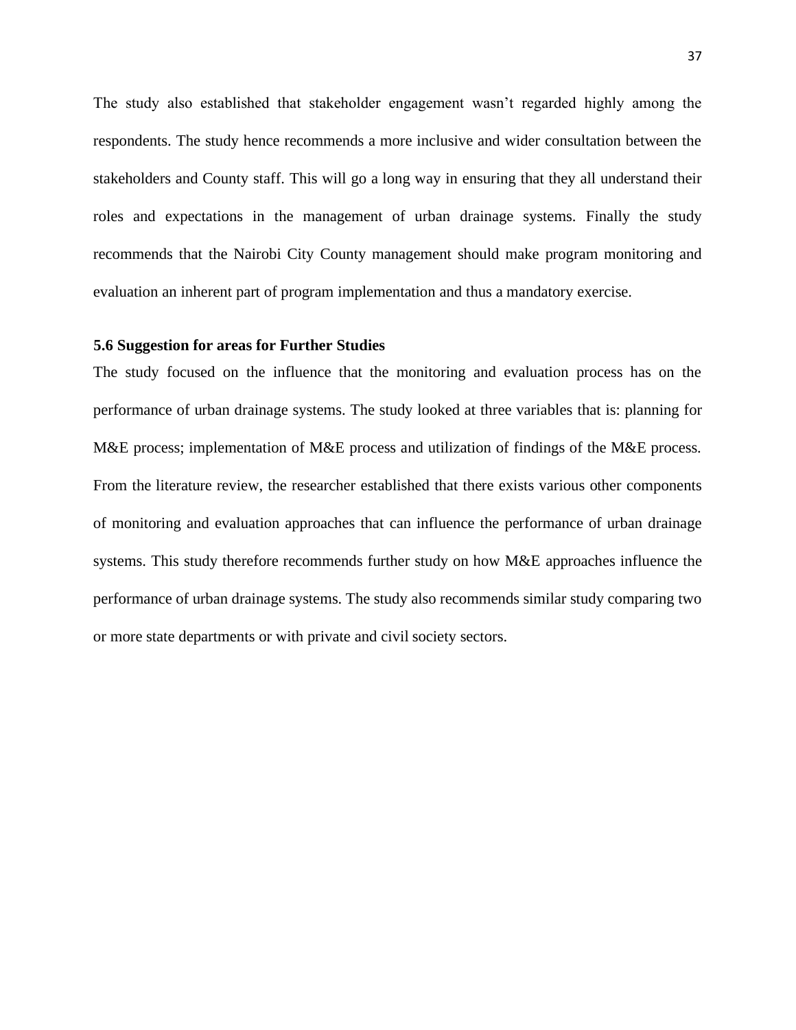The study also established that stakeholder engagement wasn't regarded highly among the respondents. The study hence recommends a more inclusive and wider consultation between the stakeholders and County staff. This will go a long way in ensuring that they all understand their roles and expectations in the management of urban drainage systems. Finally the study recommends that the Nairobi City County management should make program monitoring and evaluation an inherent part of program implementation and thus a mandatory exercise.

### <span id="page-48-0"></span>**5.6 Suggestion for areas for Further Studies**

The study focused on the influence that the monitoring and evaluation process has on the performance of urban drainage systems. The study looked at three variables that is: planning for M&E process; implementation of M&E process and utilization of findings of the M&E process. From the literature review, the researcher established that there exists various other components of monitoring and evaluation approaches that can influence the performance of urban drainage systems. This study therefore recommends further study on how M&E approaches influence the performance of urban drainage systems. The study also recommends similar study comparing two or more state departments or with private and civil society sectors.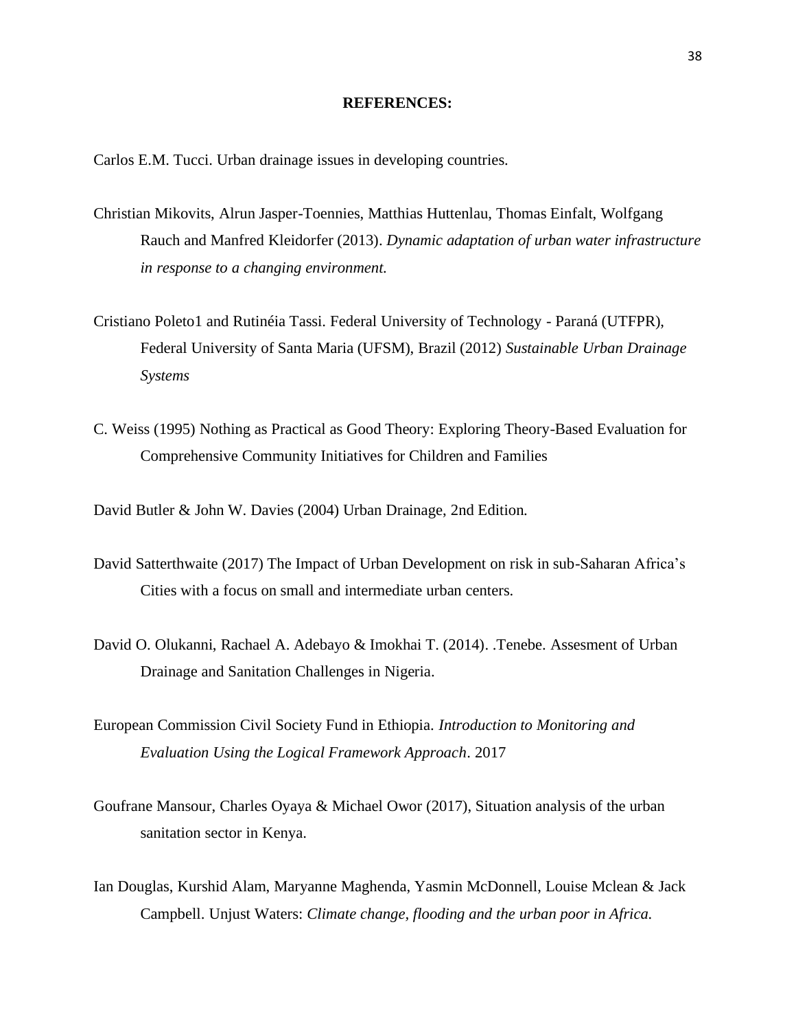#### **REFERENCES:**

<span id="page-49-0"></span>Carlos E.M. Tucci. Urban drainage issues in developing countries.

- Christian Mikovits, Alrun Jasper-Toennies, Matthias Huttenlau, Thomas Einfalt, Wolfgang Rauch and Manfred Kleidorfer (2013). *Dynamic adaptation of urban water infrastructure in response to a changing environment.*
- Cristiano Poleto1 and Rutinéia Tassi. Federal University of Technology Paraná (UTFPR), Federal University of Santa Maria (UFSM), Brazil (2012) *Sustainable Urban Drainage Systems*
- C. Weiss (1995) Nothing as Practical as Good Theory: Exploring Theory-Based Evaluation for Comprehensive Community Initiatives for Children and Families

David Butler & John W. Davies (2004) Urban Drainage, 2nd Edition.

- David Satterthwaite (2017) The Impact of Urban Development on risk in sub-Saharan Africa's Cities with a focus on small and intermediate urban centers.
- David O. Olukanni, Rachael A. Adebayo & Imokhai T. (2014). .Tenebe. Assesment of Urban Drainage and Sanitation Challenges in Nigeria.
- European Commission Civil Society Fund in Ethiopia. *Introduction to Monitoring and Evaluation Using the Logical Framework Approach*. 2017
- Goufrane Mansour, Charles Oyaya & Michael Owor (2017), Situation analysis of the urban sanitation sector in Kenya.
- Ian Douglas, Kurshid Alam, Maryanne Maghenda, Yasmin McDonnell, Louise Mclean & Jack Campbell. Unjust Waters: *Climate change, flooding and the urban poor in Africa.*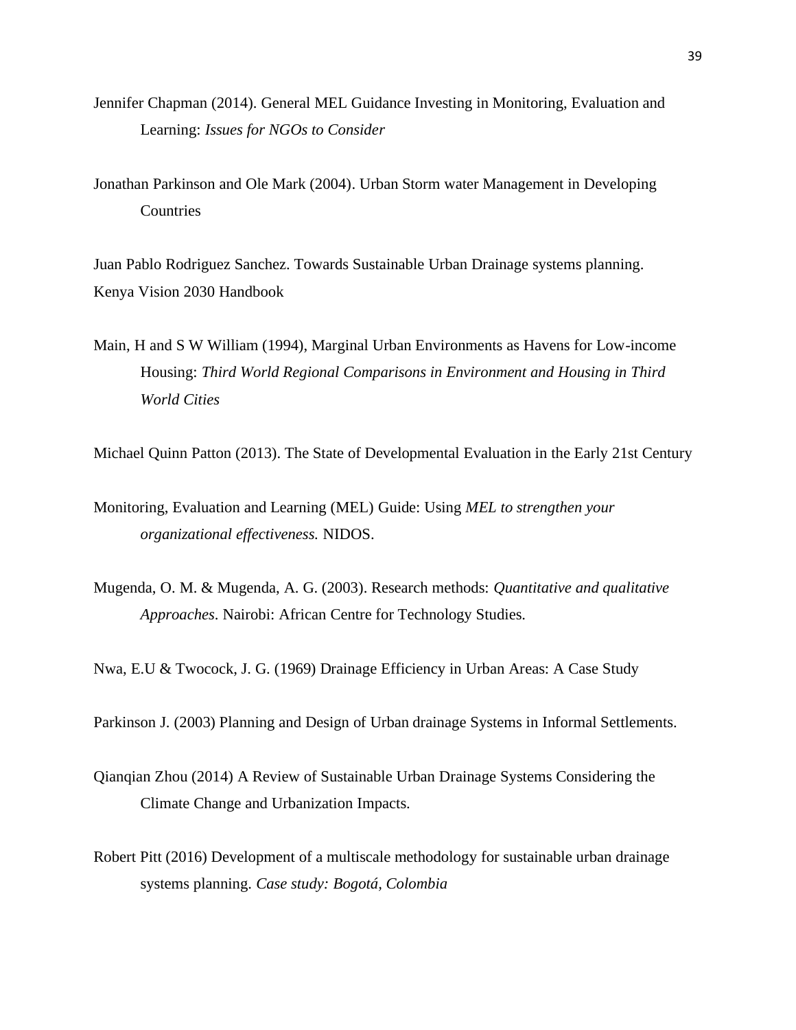- Jennifer Chapman (2014). General MEL Guidance Investing in Monitoring, Evaluation and Learning: *Issues for NGOs to Consider*
- Jonathan Parkinson and Ole Mark (2004). Urban Storm water Management in Developing **Countries**

Juan Pablo Rodriguez Sanchez. Towards Sustainable Urban Drainage systems planning. Kenya Vision 2030 Handbook

Main, H and S W William (1994), Marginal Urban Environments as Havens for Low-income Housing: *Third World Regional Comparisons in Environment and Housing in Third World Cities*

Michael Quinn Patton (2013). The State of Developmental Evaluation in the Early 21st Century

- Monitoring, Evaluation and Learning (MEL) Guide: Using *MEL to strengthen your organizational effectiveness.* NIDOS.
- Mugenda, O. M. & Mugenda, A. G. (2003). Research methods: *Quantitative and qualitative Approaches*. Nairobi: African Centre for Technology Studies.

Nwa, E.U & Twocock, J. G. (1969) Drainage Efficiency in Urban Areas: A Case Study

Parkinson J. (2003) Planning and Design of Urban drainage Systems in Informal Settlements.

- Qianqian Zhou (2014) A Review of Sustainable Urban Drainage Systems Considering the Climate Change and Urbanization Impacts.
- Robert Pitt (2016) Development of a multiscale methodology for sustainable urban drainage systems planning. *Case study: Bogotá, Colombia*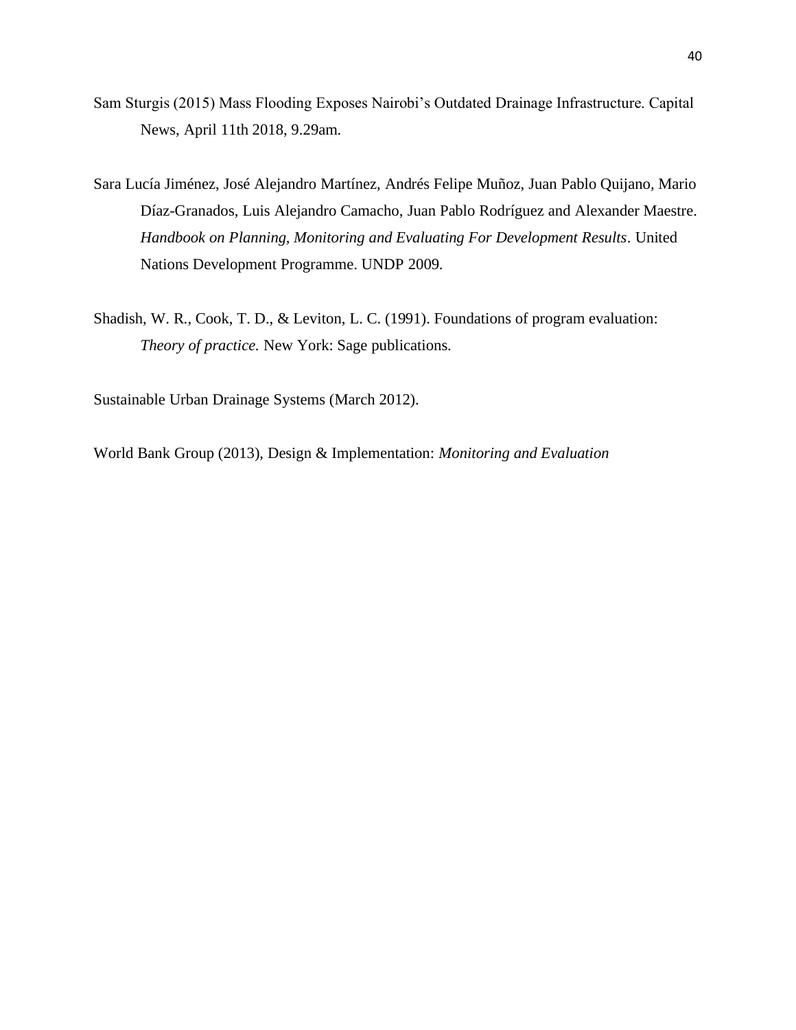- Sam Sturgis (2015) Mass Flooding Exposes Nairobi's Outdated Drainage Infrastructure. Capital News, April 11th 2018, 9.29am.
- Sara Lucía Jiménez, José Alejandro Martínez, Andrés Felipe Muñoz, Juan Pablo Quijano, Mario Díaz-Granados, Luis Alejandro Camacho, Juan Pablo Rodríguez and Alexander Maestre. *Handbook on Planning, Monitoring and Evaluating For Development Results*. United Nations Development Programme. UNDP 2009.
- Shadish, W. R., Cook, T. D., & Leviton, L. C. (1991). Foundations of program evaluation: *Theory of practice.* New York: Sage publications.

Sustainable Urban Drainage Systems (March 2012).

World Bank Group (2013), Design & Implementation: *Monitoring and Evaluation*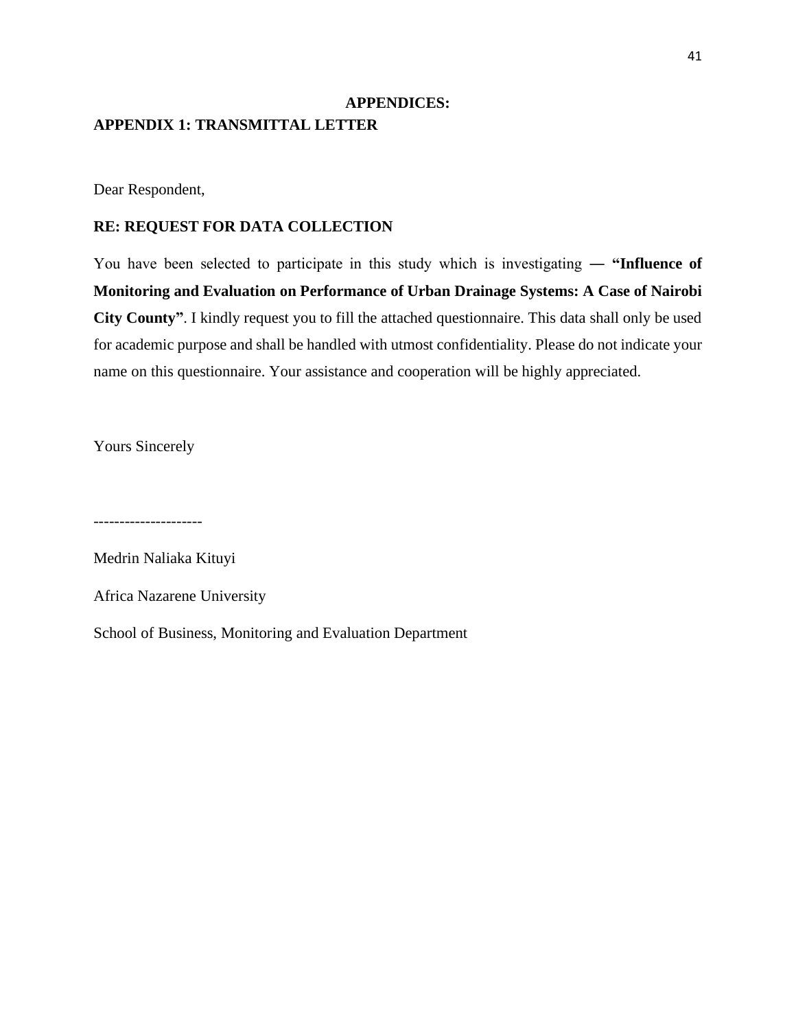# <span id="page-52-1"></span><span id="page-52-0"></span>**APPENDICES: APPENDIX 1: TRANSMITTAL LETTER**

Dear Respondent,

### **RE: REQUEST FOR DATA COLLECTION**

You have been selected to participate in this study which is investigating ― **"Influence of Monitoring and Evaluation on Performance of Urban Drainage Systems: A Case of Nairobi City County"**. I kindly request you to fill the attached questionnaire. This data shall only be used for academic purpose and shall be handled with utmost confidentiality. Please do not indicate your name on this questionnaire. Your assistance and cooperation will be highly appreciated.

Yours Sincerely

---------------------

Medrin Naliaka Kituyi

Africa Nazarene University

School of Business, Monitoring and Evaluation Department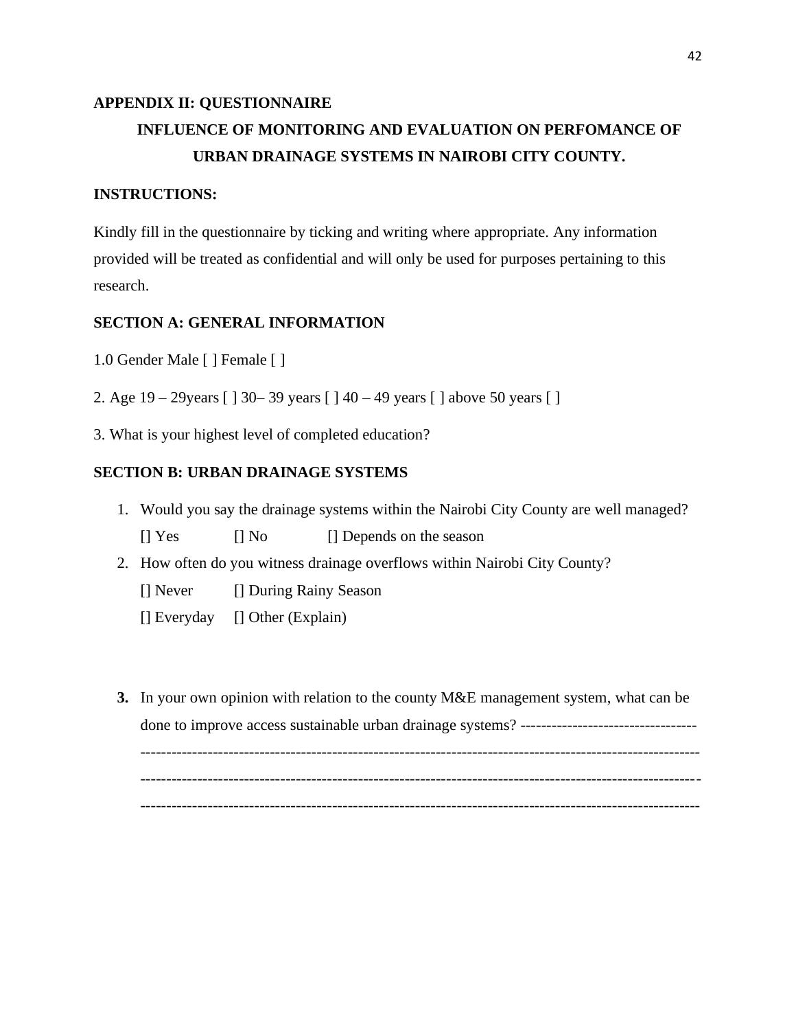# <span id="page-53-0"></span>**APPENDIX II: QUESTIONNAIRE INFLUENCE OF MONITORING AND EVALUATION ON PERFOMANCE OF URBAN DRAINAGE SYSTEMS IN NAIROBI CITY COUNTY.**

### **INSTRUCTIONS:**

Kindly fill in the questionnaire by ticking and writing where appropriate. Any information provided will be treated as confidential and will only be used for purposes pertaining to this research.

### **SECTION A: GENERAL INFORMATION**

- 1.0 Gender Male [ ] Female [ ]
- 2. Age 19 29years [ ] 30– 39 years [ ] 40 49 years [ ] above 50 years [ ]
- 3. What is your highest level of completed education?

### **SECTION B: URBAN DRAINAGE SYSTEMS**

- 1. Would you say the drainage systems within the Nairobi City County are well managed?
	- [] Yes [] No [] Depends on the season
- 2. How often do you witness drainage overflows within Nairobi City County?
	- [] Never [] During Rainy Season
	- [] Everyday [] Other (Explain)
- **3.** In your own opinion with relation to the county M&E management system, what can be done to improve access sustainable urban drainage systems? ---------------------------------- ------------------------------------------------------------------------------------------------------------ ------------------------------------------------------------------------------------------------------------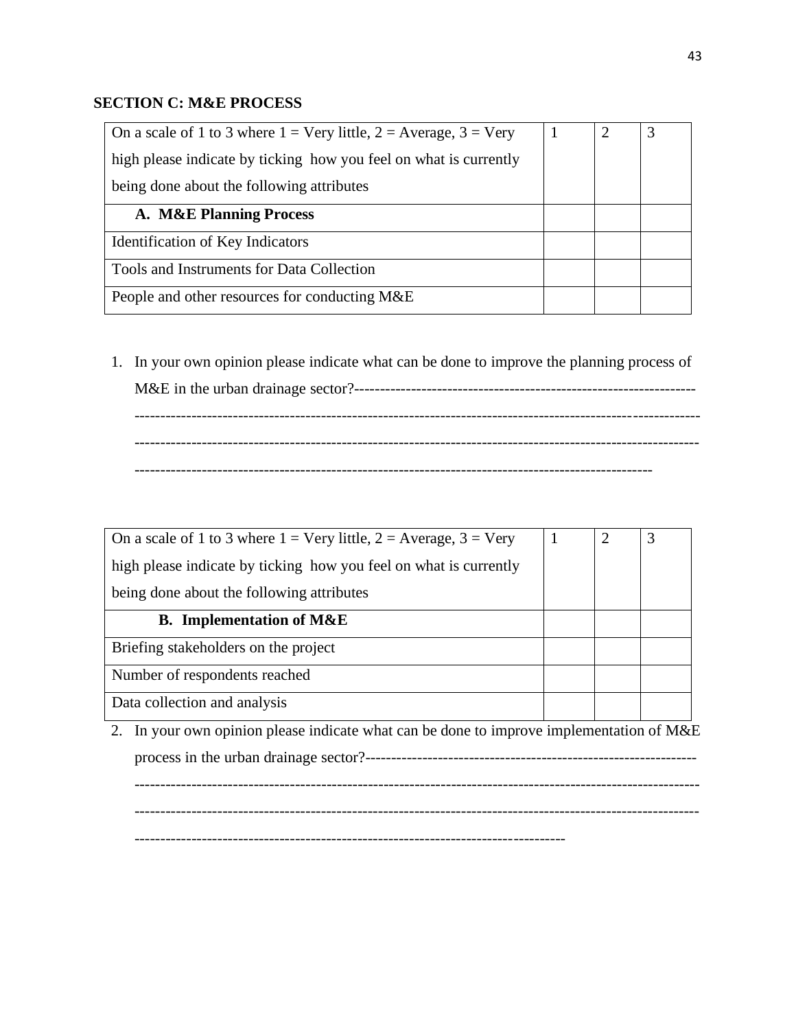## **SECTION C: M&E PROCESS**

| On a scale of 1 to 3 where $1 = \text{Very little}, 2 = \text{Average}, 3 = \text{Very}}$ |  | 3 |
|-------------------------------------------------------------------------------------------|--|---|
| high please indicate by ticking how you feel on what is currently                         |  |   |
| being done about the following attributes                                                 |  |   |
| A. M&E Planning Process                                                                   |  |   |
| Identification of Key Indicators                                                          |  |   |
| Tools and Instruments for Data Collection                                                 |  |   |
| People and other resources for conducting M&E                                             |  |   |

1. In your own opinion please indicate what can be done to improve the planning process of M&E in the urban drainage sector?------------------------------------------------------------------ ------------------------------------------------------------------------------------------------------------- ------------------------------------------------------------------------------------------------------------- ----------------------------------------------------------------------------------------------------

| On a scale of 1 to 3 where $1 = \text{Very little}, 2 = \text{Average}, 3 = \text{Very}}$ | 2 | 3 |
|-------------------------------------------------------------------------------------------|---|---|
| high please indicate by ticking how you feel on what is currently                         |   |   |
| being done about the following attributes                                                 |   |   |
| <b>B.</b> Implementation of M&E                                                           |   |   |
| Briefing stakeholders on the project                                                      |   |   |
| Number of respondents reached                                                             |   |   |
| Data collection and analysis                                                              |   |   |
| In your own opinion please indicate what can be done to improve implementation of M&E     |   |   |

process in the urban drainage sector?----------------------------------------------------------------

------------------------------------------------------------------------------------------------------------- -------------------------------------------------------------------------------------------------------------

-----------------------------------------------------------------------------------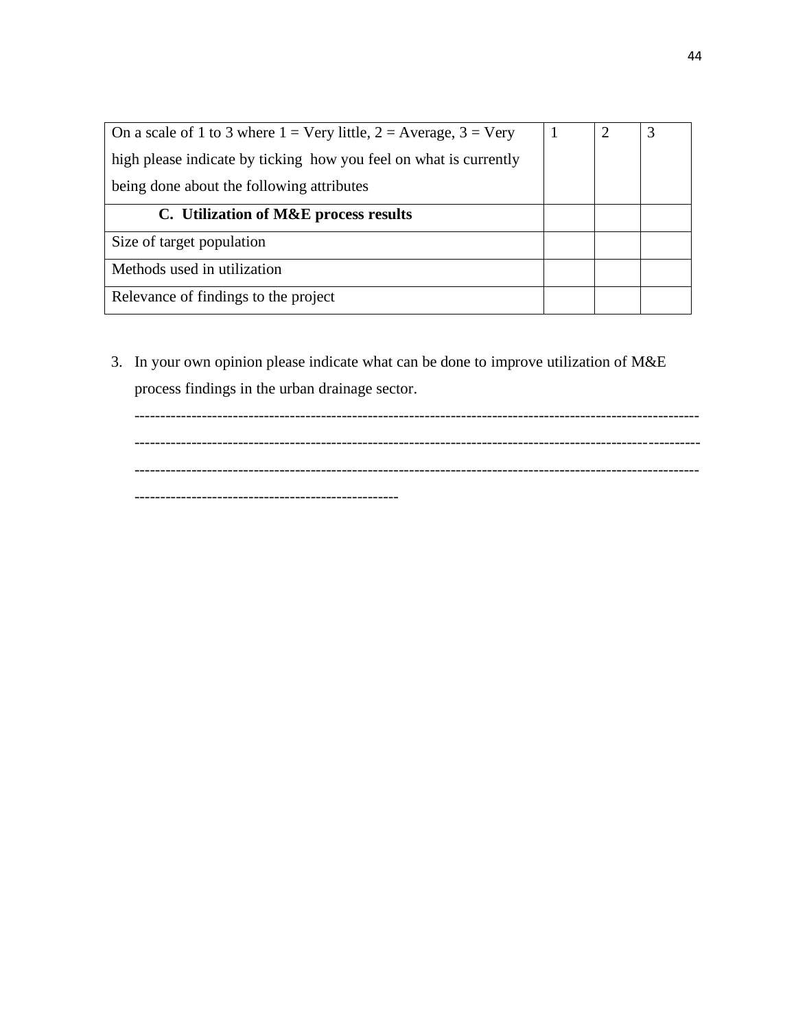| On a scale of 1 to 3 where $1 = \text{Very little}, 2 = \text{Average}, 3 = \text{Very}}$ |  | 3 |
|-------------------------------------------------------------------------------------------|--|---|
| high please indicate by ticking how you feel on what is currently                         |  |   |
| being done about the following attributes                                                 |  |   |
| C. Utilization of M&E process results                                                     |  |   |
| Size of target population                                                                 |  |   |
| Methods used in utilization                                                               |  |   |
| Relevance of findings to the project                                                      |  |   |

3. In your own opinion please indicate what can be done to improve utilization of M&E process findings in the urban drainage sector.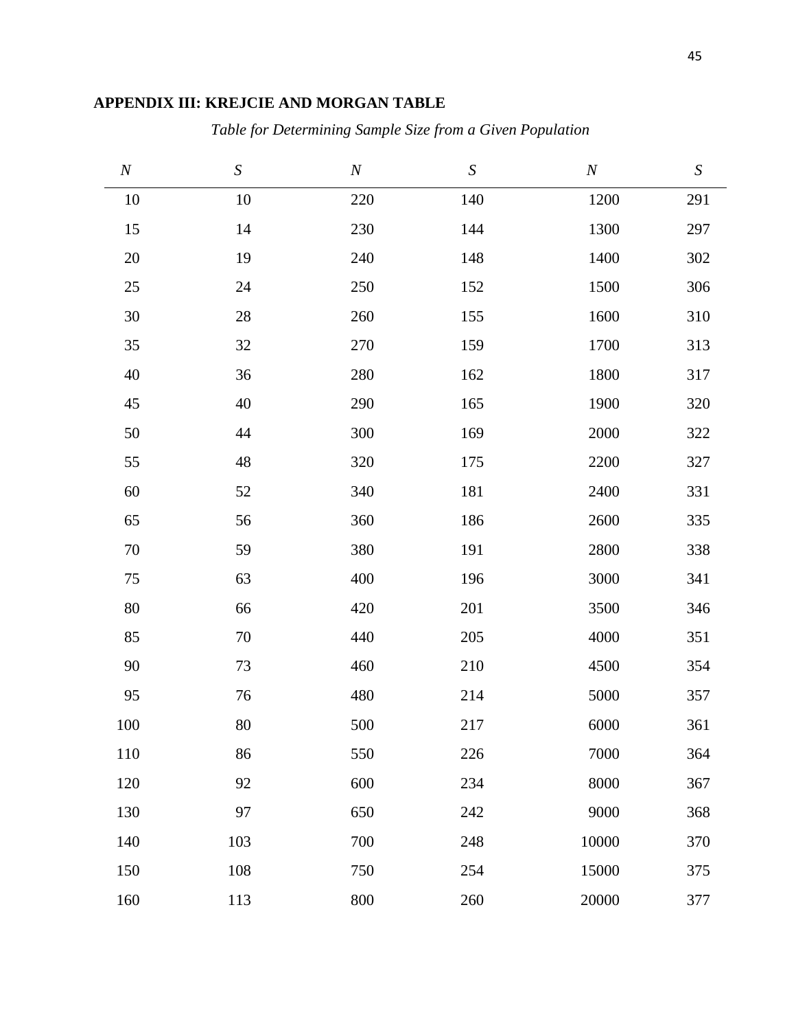# <span id="page-56-0"></span>**APPENDIX III: KREJCIE AND MORGAN TABLE**

*Table for Determining Sample Size from a Given Population*

| $\cal N$ | $\boldsymbol{S}$ | $\cal N$ | ${\cal S}$ | $\cal N$ | $\boldsymbol{S}$ |
|----------|------------------|----------|------------|----------|------------------|
| 10       | $10\,$           | $220\,$  | 140        | 1200     | 291              |
| 15       | 14               | 230      | 144        | 1300     | 297              |
| $20\,$   | 19               | 240      | 148        | 1400     | 302              |
| $25\,$   | 24               | 250      | 152        | 1500     | 306              |
| $30\,$   | $28\,$           | 260      | 155        | 1600     | 310              |
| 35       | $32\,$           | 270      | 159        | 1700     | 313              |
| $40\,$   | 36               | 280      | 162        | 1800     | 317              |
| $45\,$   | 40               | 290      | 165        | 1900     | 320              |
| $50\,$   | 44               | 300      | 169        | 2000     | 322              |
| 55       | 48               | 320      | 175        | 2200     | 327              |
| $60\,$   | 52               | 340      | 181        | 2400     | 331              |
| 65       | 56               | 360      | 186        | 2600     | 335              |
| $70\,$   | 59               | 380      | 191        | 2800     | 338              |
| 75       | 63               | 400      | 196        | 3000     | 341              |
| $80\,$   | 66               | 420      | 201        | 3500     | 346              |
| 85       | $70\,$           | 440      | 205        | 4000     | 351              |
| 90       | $73\,$           | 460      | 210        | 4500     | 354              |
| 95       | 76               | 480      | 214        | 5000     | 357              |
| 100      | 80               | 500      | 217        | 6000     | 361              |
| 110      | 86               | 550      | 226        | 7000     | 364              |
| 120      | 92               | 600      | 234        | 8000     | 367              |
| 130      | 97               | 650      | 242        | 9000     | 368              |
| 140      | 103              | 700      | 248        | 10000    | 370              |
| 150      | 108              | 750      | 254        | 15000    | 375              |
| 160      | 113              | 800      | 260        | 20000    | 377              |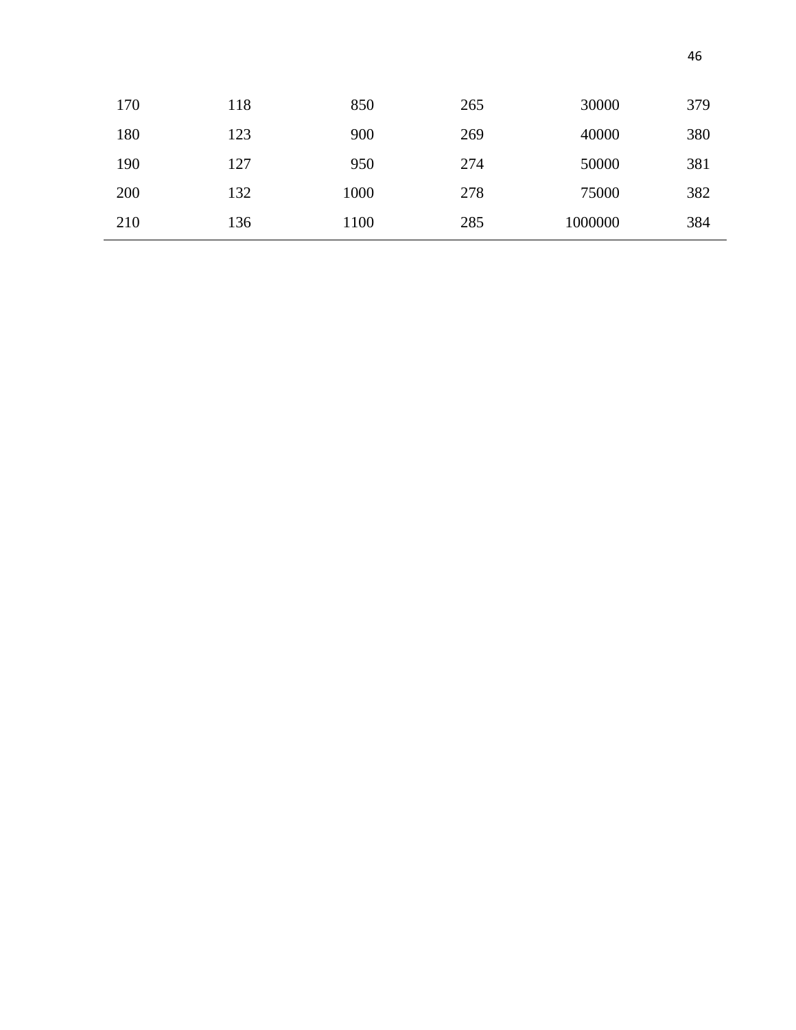| 170 | 118 | 850  | 265 | 30000   | 379 |
|-----|-----|------|-----|---------|-----|
| 180 | 123 | 900  | 269 | 40000   | 380 |
| 190 | 127 | 950  | 274 | 50000   | 381 |
| 200 | 132 | 1000 | 278 | 75000   | 382 |
| 210 | 136 | 1100 | 285 | 1000000 | 384 |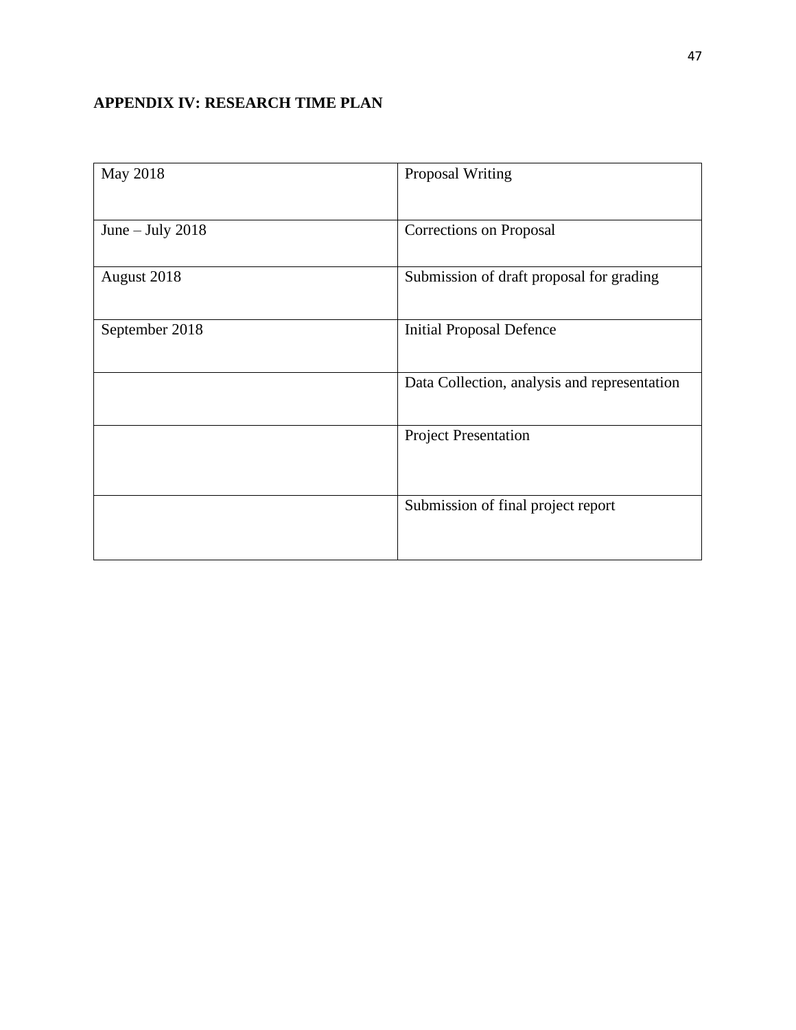# <span id="page-58-0"></span>**APPENDIX IV: RESEARCH TIME PLAN**

| May 2018           | Proposal Writing                             |
|--------------------|----------------------------------------------|
| June $-$ July 2018 | Corrections on Proposal                      |
| August 2018        | Submission of draft proposal for grading     |
| September 2018     | <b>Initial Proposal Defence</b>              |
|                    | Data Collection, analysis and representation |
|                    | <b>Project Presentation</b>                  |
|                    | Submission of final project report           |